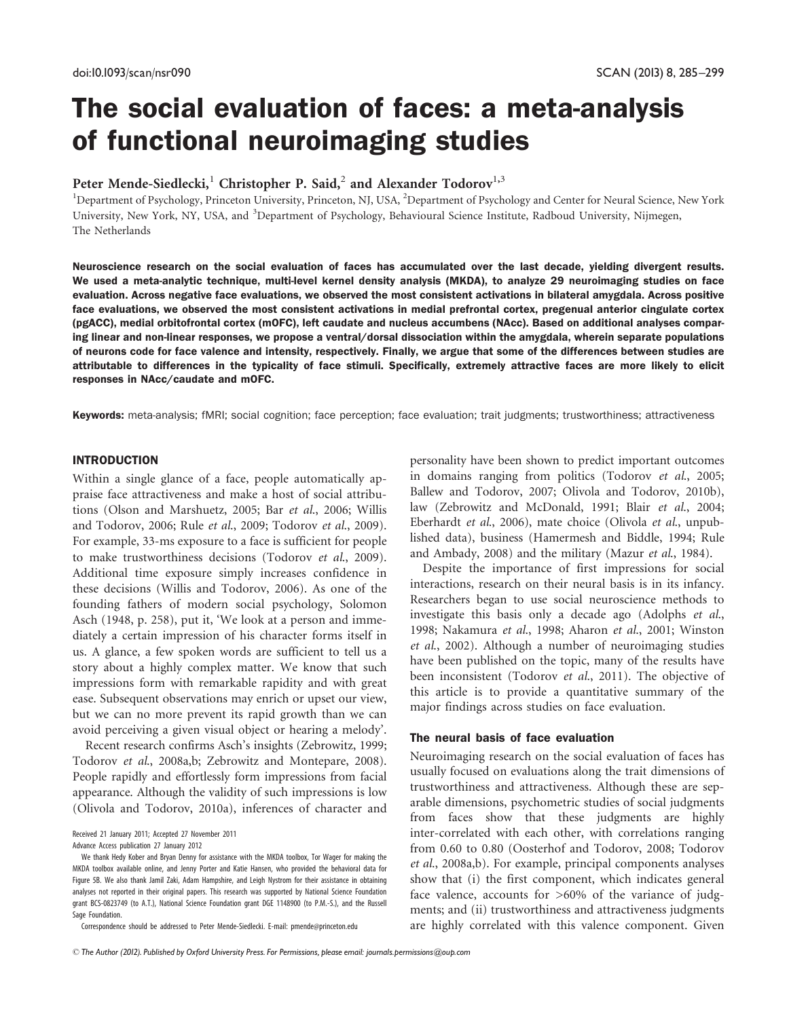# The social evaluation of faces: a meta-analysis of functional neuroimaging studies

# Peter Mende-Siedlecki,<sup>1</sup> Christopher P. Said,<sup>2</sup> and Alexander Todorov<sup>1,3</sup>

<sup>1</sup>Department of Psychology, Princeton University, Princeton, NJ, USA, <sup>2</sup>Department of Psychology and Center for Neural Science, New York University, New York, NY, USA, and <sup>3</sup>Department of Psychology, Behavioural Science Institute, Radboud University, Nijmegen, The Netherlands

Neuroscience research on the social evaluation of faces has accumulated over the last decade, yielding divergent results. We used a meta-analytic technique, multi-level kernel density analysis (MKDA), to analyze 29 neuroimaging studies on face evaluation. Across negative face evaluations, we observed the most consistent activations in bilateral amygdala. Across positive face evaluations, we observed the most consistent activations in medial prefrontal cortex, pregenual anterior cingulate cortex (pgACC), medial orbitofrontal cortex (mOFC), left caudate and nucleus accumbens (NAcc). Based on additional analyses comparing linear and non-linear responses, we propose a ventral/dorsal dissociation within the amygdala, wherein separate populations of neurons code for face valence and intensity, respectively. Finally, we argue that some of the differences between studies are attributable to differences in the typicality of face stimuli. Specifically, extremely attractive faces are more likely to elicit responses in NAcc/caudate and mOFC.

Keywords: meta-analysis; fMRI; social cognition; face perception; face evaluation; trait judgments; trustworthiness; attractiveness

#### INTRODUCTION

Within a single glance of a face, people automatically appraise face attractiveness and make a host of social attributions [\(Olson and Marshuetz, 2005;](#page-12-0) Bar et al[., 2006](#page-11-0); [Willis](#page-13-0) [and Todorov, 2006](#page-13-0); Rule et al[., 2009; Todorov](#page-13-0) et al., 2009). For example, 33-ms exposure to a face is sufficient for people to make trustworthiness decisions [\(Todorov](#page-13-0) et al., 2009). Additional time exposure simply increases confidence in these decisions [\(Willis and Todorov, 2006](#page-13-0)). As one of the founding fathers of modern social psychology, Solomon Asch [\(1948](#page-11-0), p. 258), put it, 'We look at a person and immediately a certain impression of his character forms itself in us. A glance, a few spoken words are sufficient to tell us a story about a highly complex matter. We know that such impressions form with remarkable rapidity and with great ease. Subsequent observations may enrich or upset our view, but we can no more prevent its rapid growth than we can avoid perceiving a given visual object or hearing a melody'.

Recent research confirms Asch's insights ([Zebrowitz, 1999](#page-14-0); [Todorov](#page-13-0) et al., 2008a,[b;](#page-13-0) [Zebrowitz and Montepare, 2008](#page-14-0)). People rapidly and effortlessly form impressions from facial appearance. Although the validity of such impressions is low [\(Olivola and Todorov, 2010a](#page-12-0)), inferences of character and

Received 21 January 2011; Accepted 27 November 2011 Advance Access publication 27 January 2012

Correspondence should be addressed to Peter Mende-Siedlecki. E-mail: pmende@princeton.edu

personality have been shown to predict important outcomes in domains ranging from politics [\(Todorov](#page-13-0) et al., 2005; [Ballew and Todorov, 2007;](#page-11-0) [Olivola and Todorov, 2010b](#page-12-0)), law [\(Zebrowitz and McDonald, 1991;](#page-14-0) Blair et al[., 2004](#page-11-0); [Eberhardt](#page-11-0) et al., 2006), mate choice (Olivola et al., unpublished data), business [\(Hamermesh and Biddle, 1994;](#page-11-0) [Rule](#page-13-0) [and Ambady, 2008\)](#page-13-0) and the military (Mazur et al[., 1984](#page-12-0)).

Despite the importance of first impressions for social interactions, research on their neural basis is in its infancy. Researchers began to use social neuroscience methods to investigate this basis only a decade ago [\(Adolphs](#page-11-0) *et al.*, [1998](#page-11-0); [Nakamura](#page-12-0) et al., 1998; [Aharon](#page-11-0) et al., 2001; [Winston](#page-13-0) et al[., 2002\)](#page-13-0). Although a number of neuroimaging studies have been published on the topic, many of the results have been inconsistent ([Todorov](#page-13-0) et al., 2011). The objective of this article is to provide a quantitative summary of the major findings across studies on face evaluation.

# The neural basis of face evaluation

Neuroimaging research on the social evaluation of faces has usually focused on evaluations along the trait dimensions of trustworthiness and attractiveness. Although these are separable dimensions, psychometric studies of social judgments from faces show that these judgments are highly inter-correlated with each other, with correlations ranging from 0.60 to 0.80 (Oosterhof and [Todorov, 2008](#page-13-0); [Todorov](#page-13-0) et al[., 2008a,b](#page-13-0)). For example, principal components analyses show that (i) the first component, which indicates general face valence, accounts for >60% of the variance of judgments; and (ii) trustworthiness and attractiveness judgments are highly correlated with this valence component. Given

We thank Hedy Kober and Bryan Denny for assistance with the MKDA toolbox, Tor Wager for making the MKDA toolbox available online, and Jenny Porter and Katie Hansen, who provided the behavioral data for Figure 5B. We also thank Jamil Zaki, Adam Hampshire, and Leigh Nystrom for their assistance in obtaining analyses not reported in their original papers. This research was supported by National Science Foundation grant BCS-0823749 (to A.T.), National Science Foundation grant DGE 1148900 (to P.M.-S.), and the Russell Sage Foundation.

<sup>-</sup> The Author (2012). Published by Oxford University Press. For Permissions, please email: journals.permissions@oup.com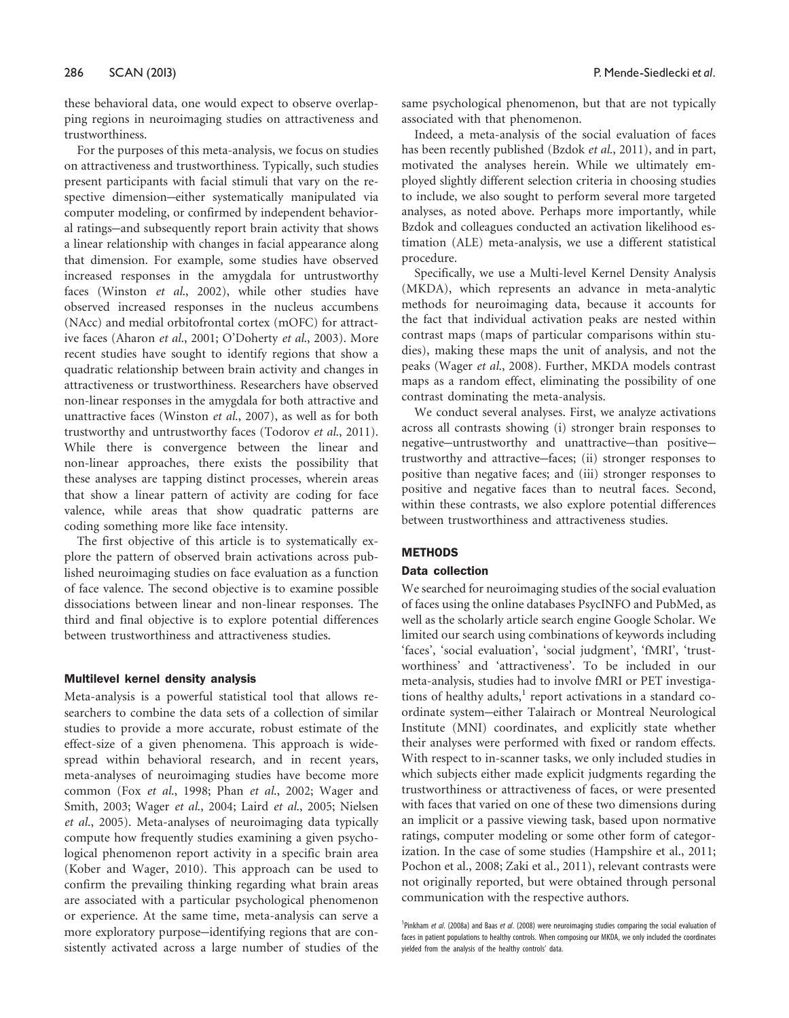these behavioral data, one would expect to observe overlapping regions in neuroimaging studies on attractiveness and trustworthiness.

For the purposes of this meta-analysis, we focus on studies on attractiveness and trustworthiness. Typically, such studies present participants with facial stimuli that vary on the respective dimension-either systematically manipulated via computer modeling, or confirmed by independent behavioral ratings-and subsequently report brain activity that shows a linear relationship with changes in facial appearance along that dimension. For example, some studies have observed increased responses in the amygdala for untrustworthy faces [\(Winston](#page-13-0) et al., 2002), while other studies have observed increased responses in the nucleus accumbens (NAcc) and medial orbitofrontal cortex (mOFC) for attractive faces [\(Aharon](#page-11-0) et al., 2001; [O'Doherty](#page-12-0) et al., 2003). More recent studies have sought to identify regions that show a quadratic relationship between brain activity and changes in attractiveness or trustworthiness. Researchers have observed non-linear responses in the amygdala for both attractive and unattractive faces [\(Winston](#page-13-0) et al., 2007), as well as for both trustworthy and untrustworthy faces [\(Todorov](#page-13-0) et al., 2011). While there is convergence between the linear and non-linear approaches, there exists the possibility that these analyses are tapping distinct processes, wherein areas that show a linear pattern of activity are coding for face valence, while areas that show quadratic patterns are coding something more like face intensity.

The first objective of this article is to systematically explore the pattern of observed brain activations across published neuroimaging studies on face evaluation as a function of face valence. The second objective is to examine possible dissociations between linear and non-linear responses. The third and final objective is to explore potential differences between trustworthiness and attractiveness studies.

### Multilevel kernel density analysis

Meta-analysis is a powerful statistical tool that allows researchers to combine the data sets of a collection of similar studies to provide a more accurate, robust estimate of the effect-size of a given phenomena. This approach is widespread within behavioral research, and in recent years, meta-analyses of neuroimaging studies have become more common (Fox et al[., 1998](#page-11-0); Phan et al[., 2002;](#page-12-0) [Wager and](#page-13-0) [Smith, 2003](#page-13-0); Wager et al[., 2004](#page-13-0); Laird et al[., 2005; Nielsen](#page-12-0) et al[., 2005\)](#page-12-0). Meta-analyses of neuroimaging data typically compute how frequently studies examining a given psychological phenomenon report activity in a specific brain area ([Kober and Wager, 2010\)](#page-12-0). This approach can be used to confirm the prevailing thinking regarding what brain areas are associated with a particular psychological phenomenon or experience. At the same time, meta-analysis can serve a more exploratory purpose-identifying regions that are consistently activated across a large number of studies of the same psychological phenomenon, but that are not typically associated with that phenomenon.

Indeed, a meta-analysis of the social evaluation of faces has been recently published (Bzdok et al[., 2011\)](#page-11-0), and in part, motivated the analyses herein. While we ultimately employed slightly different selection criteria in choosing studies to include, we also sought to perform several more targeted analyses, as noted above. Perhaps more importantly, while Bzdok and colleagues conducted an activation likelihood estimation (ALE) meta-analysis, we use a different statistical procedure.

Specifically, we use a Multi-level Kernel Density Analysis (MKDA), which represents an advance in meta-analytic methods for neuroimaging data, because it accounts for the fact that individual activation peaks are nested within contrast maps (maps of particular comparisons within studies), making these maps the unit of analysis, and not the peaks (Wager et al[., 2008](#page-13-0)). Further, MKDA models contrast maps as a random effect, eliminating the possibility of one contrast dominating the meta-analysis.

We conduct several analyses. First, we analyze activations across all contrasts showing (i) stronger brain responses to negative-untrustworthy and unattractive-than positivetrustworthy and attractive-faces; (ii) stronger responses to positive than negative faces; and (iii) stronger responses to positive and negative faces than to neutral faces. Second, within these contrasts, we also explore potential differences between trustworthiness and attractiveness studies.

# **METHODS**

#### Data collection

We searched for neuroimaging studies of the social evaluation of faces using the online databases PsycINFO and PubMed, as well as the scholarly article search engine Google Scholar. We limited our search using combinations of keywords including 'faces', 'social evaluation', 'social judgment', 'fMRI', 'trustworthiness' and 'attractiveness'. To be included in our meta-analysis, studies had to involve fMRI or PET investigations of healthy adults, $<sup>1</sup>$  report activations in a standard co-</sup> ordinate system-either Talairach or Montreal Neurological Institute (MNI) coordinates, and explicitly state whether their analyses were performed with fixed or random effects. With respect to in-scanner tasks, we only included studies in which subjects either made explicit judgments regarding the trustworthiness or attractiveness of faces, or were presented with faces that varied on one of these two dimensions during an implicit or a passive viewing task, based upon normative ratings, computer modeling or some other form of categorization. In the case of some studies [\(Hampshire et al., 2011;](#page-11-0) [Pochon et al., 2008;](#page-11-0) [Zaki et al., 2011\)](#page-12-0), relevant contrasts were not originally reported, but were obtained through personal communication with the respective authors.

<sup>&</sup>lt;sup>1</sup>Pinkham et al[. \(2008a\)](#page-12-0) and Baas et al[. \(2008\)](#page-11-0) were neuroimaging studies comparing the social evaluation of faces in patient populations to healthy controls. When composing our MKDA, we only included the coordinates yielded from the analysis of the healthy controls' data.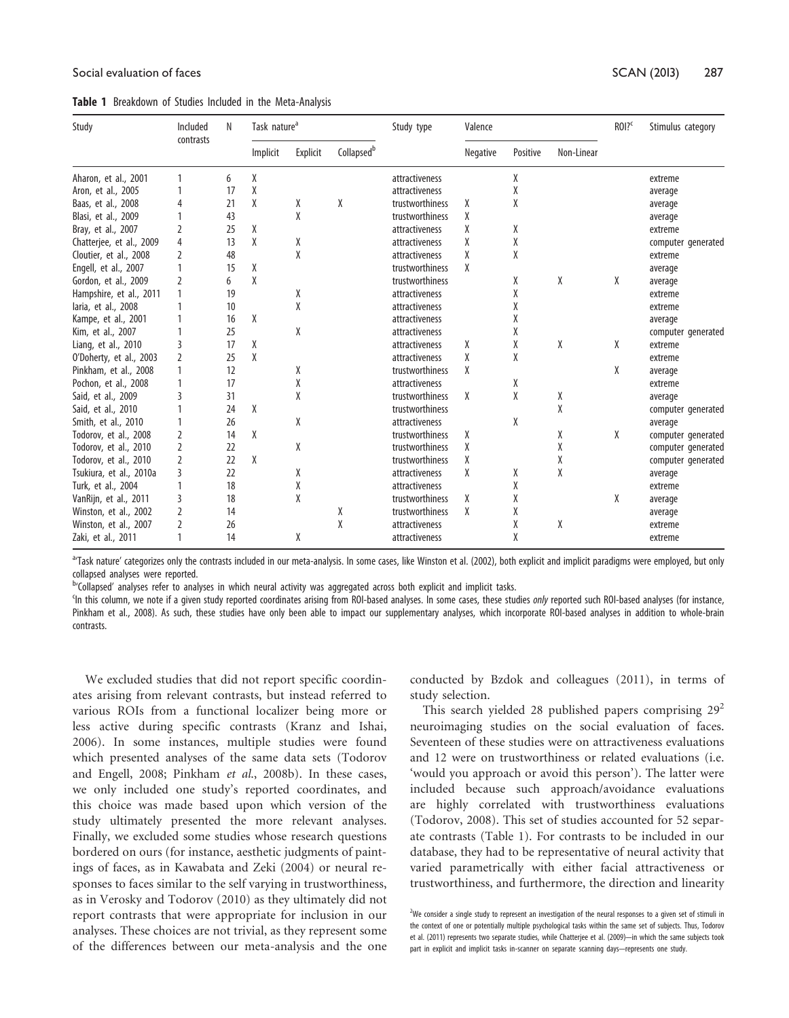| Table 1 Breakdown of Studies Included in the Meta-Analysis |  |  |
|------------------------------------------------------------|--|--|
|------------------------------------------------------------|--|--|

| Study                    | Included       |    | Ν        | Task nature <sup>a</sup> |                        |                 | Study type | Valence  |            |   | $ROI$ ? $c$        | Stimulus category |
|--------------------------|----------------|----|----------|--------------------------|------------------------|-----------------|------------|----------|------------|---|--------------------|-------------------|
|                          | contrasts      |    | Implicit | Explicit                 | Collapsed <sup>b</sup> |                 | Negative   | Positive | Non-Linear |   |                    |                   |
| Aharon, et al., 2001     |                | 6  | χ        |                          |                        | attractiveness  |            | X        |            |   | extreme            |                   |
| Aron, et al., 2005       |                | 17 | X        |                          |                        | attractiveness  |            | X        |            |   | average            |                   |
| Baas, et al., 2008       | 4              | 21 | χ        | χ                        | X                      | trustworthiness | X          | χ        |            |   | average            |                   |
| Blasi, et al., 2009      |                | 43 |          | χ                        |                        | trustworthiness | χ          |          |            |   | average            |                   |
| Bray, et al., 2007       | 2              | 25 | χ        |                          |                        | attractiveness  | χ          | χ        |            |   | extreme            |                   |
| Chatterjee, et al., 2009 | 4              | 13 | X        | χ                        |                        | attractiveness  | χ          | X        |            |   | computer generated |                   |
| Cloutier, et al., 2008   | 2              | 48 |          | χ                        |                        | attractiveness  | X          | X        |            |   | extreme            |                   |
| Engell, et al., 2007     |                | 15 | χ        |                          |                        | trustworthiness | χ          |          |            |   | average            |                   |
| Gordon, et al., 2009     | $\overline{2}$ | 6  | X        |                          |                        | trustworthiness |            | χ        | χ          | χ | average            |                   |
| Hampshire, et al., 2011  |                | 19 |          | χ                        |                        | attractiveness  |            | χ        |            |   | extreme            |                   |
| laria, et al., 2008      |                | 10 |          | χ                        |                        | attractiveness  |            | X        |            |   | extreme            |                   |
| Kampe, et al., 2001      |                | 16 | χ        |                          |                        | attractiveness  |            | χ        |            |   | average            |                   |
| Kim, et al., 2007        |                | 25 |          | χ                        |                        | attractiveness  |            | χ        |            |   | computer generated |                   |
| Liang, et al., 2010      | 3              | 17 | χ        |                          |                        | attractiveness  | χ          | χ        | χ          | χ | extreme            |                   |
| O'Doherty, et al., 2003  | 2              | 25 | X        |                          |                        | attractiveness  | X          | X        |            |   | extreme            |                   |
| Pinkham, et al., 2008    |                | 12 |          | Χ                        |                        | trustworthiness | χ          |          |            | χ | average            |                   |
| Pochon, et al., 2008     |                | 17 |          | χ                        |                        | attractiveness  |            | χ        |            |   | extreme            |                   |
| Said, et al., 2009       | 3              | 31 |          | χ                        |                        | trustworthiness | χ          | X        | χ          |   | average            |                   |
| Said, et al., 2010       |                | 24 | X        |                          |                        | trustworthiness |            |          | χ          |   | computer generated |                   |
| Smith, et al., 2010      |                | 26 |          | Χ                        |                        | attractiveness  |            | χ        |            |   | average            |                   |
| Todorov, et al., 2008    | 2              | 14 | χ        |                          |                        | trustworthiness | χ          |          | χ          | χ | computer generated |                   |
| Todorov, et al., 2010    | 2              | 22 |          | χ                        |                        | trustworthiness | χ          |          | χ          |   | computer generated |                   |
| Todorov, et al., 2010    | 2              | 22 | χ        |                          |                        | trustworthiness | χ          |          | Χ          |   | computer generated |                   |
| Tsukiura, et al., 2010a  | 3              | 22 |          | χ                        |                        | attractiveness  | χ          | χ        | Χ          |   | average            |                   |
| Turk, et al., 2004       |                | 18 |          | χ                        |                        | attractiveness  |            | χ        |            |   | extreme            |                   |
| VanRijn, et al., 2011    | 3              | 18 |          | χ                        |                        | trustworthiness | χ          | χ        |            | χ | average            |                   |
| Winston, et al., 2002    | 2              | 14 |          |                          | χ                      | trustworthiness | χ          | χ        |            |   | average            |                   |
| Winston, et al., 2007    | 2              | 26 |          |                          | X                      | attractiveness  |            | χ        | X          |   | extreme            |                   |
| Zaki, et al., 2011       |                | 14 |          | χ                        |                        | attractiveness  |            | X        |            |   | extreme            |                   |

<sup>a.</sup>Task nature' categorizes only the contrasts included in our meta-analysis. In some cases, like [Winston et al. \(2002\)](#page-13-0), both explicit and implicit paradigms were employed, but only collapsed analyses were reported.

b'Collapsed' analyses refer to analyses in which neural activity was aggregated across both explicit and implicit tasks.

In this column, we note if a given study reported coordinates arising from ROI-based analyses. In some cases, these studies only reported such ROI-based analyses (for instance, [Pinkham et al., 2008](#page-12-0)). As such, these studies have only been able to impact our [supplementary analyses](http://scan.oxfordjournals.org/cgi/content/full/nsr090/DC1), which incorporate ROI-based analyses in addition to whole-brain contrasts.

We excluded studies that did not report specific coordinates arising from relevant contrasts, but instead referred to various ROIs from a functional localizer being more or less active during specific contrasts [\(Kranz and Ishai,](#page-12-0) [2006](#page-12-0)). In some instances, multiple studies were found which presented analyses of the same data sets [\(Todorov](#page-13-0) [and Engell, 2008](#page-13-0); [Pinkham](#page-12-0) et al., 2008b). In these cases, we only included one study's reported coordinates, and this choice was made based upon which version of the study ultimately presented the more relevant analyses. Finally, we excluded some studies whose research questions bordered on ours (for instance, aesthetic judgments of paintings of faces, as in [Kawabata and Zeki \(2004\)](#page-12-0) or neural responses to faces similar to the self varying in trustworthiness, as in [Verosky and Todorov \(2010\)](#page-13-0) as they ultimately did not report contrasts that were appropriate for inclusion in our analyses. These choices are not trivial, as they represent some of the differences between our meta-analysis and the one

conducted by [Bzdok and colleagues \(2011\),](#page-11-0) in terms of study selection.

This search yielded 28 published papers comprising  $29<sup>2</sup>$ neuroimaging studies on the social evaluation of faces. Seventeen of these studies were on attractiveness evaluations and 12 were on trustworthiness or related evaluations (i.e. 'would you approach or avoid this person'). The latter were included because such approach/avoidance evaluations are highly correlated with trustworthiness evaluations [\(Todorov, 2008\)](#page-13-0). This set of studies accounted for 52 separate contrasts (Table 1). For contrasts to be included in our database, they had to be representative of neural activity that varied parametrically with either facial attractiveness or trustworthiness, and furthermore, the direction and linearity

 $^{2}$ We consider a single study to represent an investigation of the neural responses to a given set of stimuli in the context of one or potentially multiple psychological tasks within the same set of subjects. Thus, [Todorov](#page-13-0) [et al. \(2011\)](#page-13-0) represents two separate studies, while [Chatterjee et al. \(2009\)](#page-11-0)—in which the same subjects took part in explicit and implicit tasks in-scanner on separate scanning days-represents one study.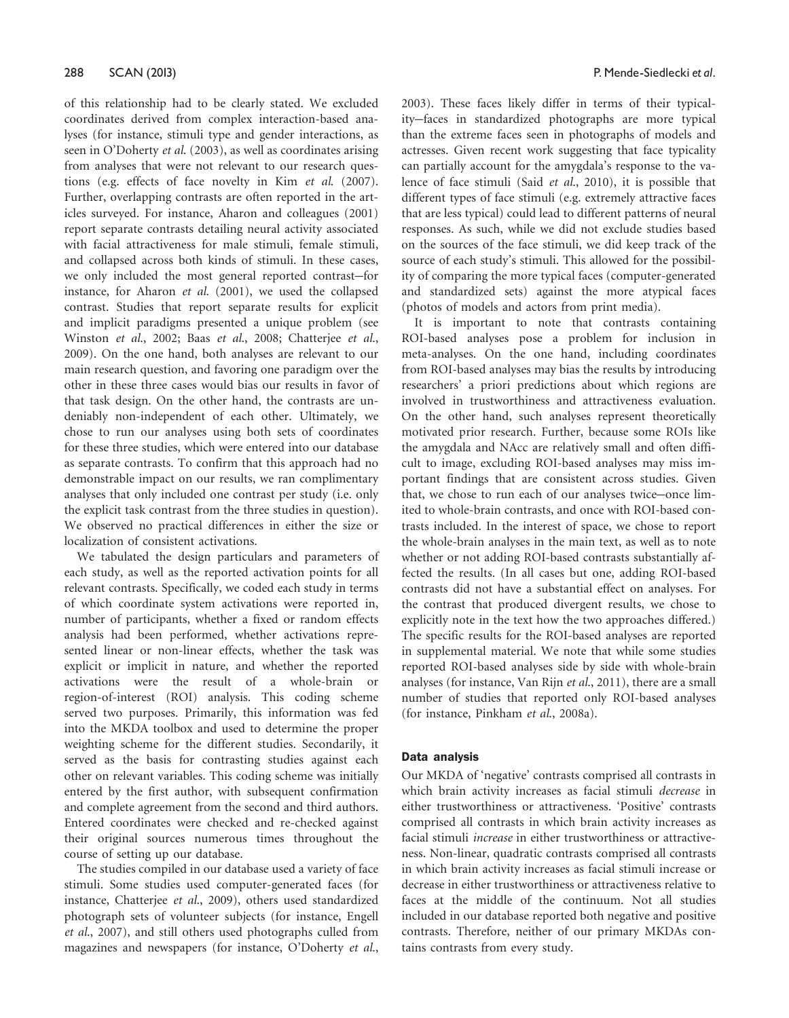of this relationship had to be clearly stated. We excluded coordinates derived from complex interaction-based analyses (for instance, stimuli type and gender interactions, as seen in [O'Doherty](#page-12-0) et al. (2003), as well as coordinates arising from analyses that were not relevant to our research questions (e.g. effects of face novelty in Kim et al[. \(2007\).](#page-12-0) Further, overlapping contrasts are often reported in the articles surveyed. For instance, [Aharon and colleagues \(2001\)](#page-11-0) report separate contrasts detailing neural activity associated with facial attractiveness for male stimuli, female stimuli, and collapsed across both kinds of stimuli. In these cases, we only included the most general reported contrast-for instance, for Aharon et al[. \(2001\),](#page-11-0) we used the collapsed contrast. Studies that report separate results for explicit and implicit paradigms presented a unique problem (see [Winston](#page-13-0) et al., 2002; Baas et al[., 2008](#page-11-0); [Chatterjee](#page-11-0) et al., [2009\)](#page-11-0). On the one hand, both analyses are relevant to our main research question, and favoring one paradigm over the other in these three cases would bias our results in favor of that task design. On the other hand, the contrasts are undeniably non-independent of each other. Ultimately, we chose to run our analyses using both sets of coordinates for these three studies, which were entered into our database as separate contrasts. To confirm that this approach had no demonstrable impact on our results, we ran complimentary analyses that only included one contrast per study (i.e. only the explicit task contrast from the three studies in question). We observed no practical differences in either the size or localization of consistent activations.

We tabulated the design particulars and parameters of each study, as well as the reported activation points for all relevant contrasts. Specifically, we coded each study in terms of which coordinate system activations were reported in, number of participants, whether a fixed or random effects analysis had been performed, whether activations represented linear or non-linear effects, whether the task was explicit or implicit in nature, and whether the reported activations were the result of a whole-brain or region-of-interest (ROI) analysis. This coding scheme served two purposes. Primarily, this information was fed into the MKDA toolbox and used to determine the proper weighting scheme for the different studies. Secondarily, it served as the basis for contrasting studies against each other on relevant variables. This coding scheme was initially entered by the first author, with subsequent confirmation and complete agreement from the second and third authors. Entered coordinates were checked and re-checked against their original sources numerous times throughout the course of setting up our database.

The studies compiled in our database used a variety of face stimuli. Some studies used computer-generated faces (for instance, [Chatterjee](#page-11-0) et al., 2009), others used standardized photograph sets of volunteer subjects (for instance, [Engell](#page-11-0) et al[., 2007](#page-11-0)), and still others used photographs culled from magazines and newspapers (for instance, [O'Doherty](#page-12-0) et al., [2003\)](#page-12-0). These faces likely differ in terms of their typicality-faces in standardized photographs are more typical than the extreme faces seen in photographs of models and actresses. Given recent work suggesting that face typicality can partially account for the amygdala's response to the valence of face stimuli (Said et al[., 2010\)](#page-13-0), it is possible that different types of face stimuli (e.g. extremely attractive faces that are less typical) could lead to different patterns of neural responses. As such, while we did not exclude studies based on the sources of the face stimuli, we did keep track of the source of each study's stimuli. This allowed for the possibility of comparing the more typical faces (computer-generated and standardized sets) against the more atypical faces (photos of models and actors from print media).

It is important to note that contrasts containing ROI-based analyses pose a problem for inclusion in meta-analyses. On the one hand, including coordinates from ROI-based analyses may bias the results by introducing researchers' a priori predictions about which regions are involved in trustworthiness and attractiveness evaluation. On the other hand, such analyses represent theoretically motivated prior research. Further, because some ROIs like the amygdala and NAcc are relatively small and often difficult to image, excluding ROI-based analyses may miss important findings that are consistent across studies. Given that, we chose to run each of our analyses twice-once limited to whole-brain contrasts, and once with ROI-based contrasts included. In the interest of space, we chose to report the whole-brain analyses in the main text, as well as to note whether or not adding ROI-based contrasts substantially affected the results. (In all cases but one, adding ROI-based contrasts did not have a substantial effect on analyses. For the contrast that produced divergent results, we chose to explicitly note in the text how the two approaches differed.) The specific results for the ROI-based analyses are reported in [supplemental material](http://scan.oxfordjournals.org/cgi/content/full/nsr090/DC1). We note that while some studies reported ROI-based analyses side by side with whole-brain analyses (for instance, [Van Rijn](#page-13-0) et al., 2011), there are a small number of studies that reported only ROI-based analyses (for instance, [Pinkham](#page-12-0) et al., 2008a).

### Data analysis

Our MKDA of 'negative' contrasts comprised all contrasts in which brain activity increases as facial stimuli decrease in either trustworthiness or attractiveness. 'Positive' contrasts comprised all contrasts in which brain activity increases as facial stimuli increase in either trustworthiness or attractiveness. Non-linear, quadratic contrasts comprised all contrasts in which brain activity increases as facial stimuli increase or decrease in either trustworthiness or attractiveness relative to faces at the middle of the continuum. Not all studies included in our database reported both negative and positive contrasts. Therefore, neither of our primary MKDAs contains contrasts from every study.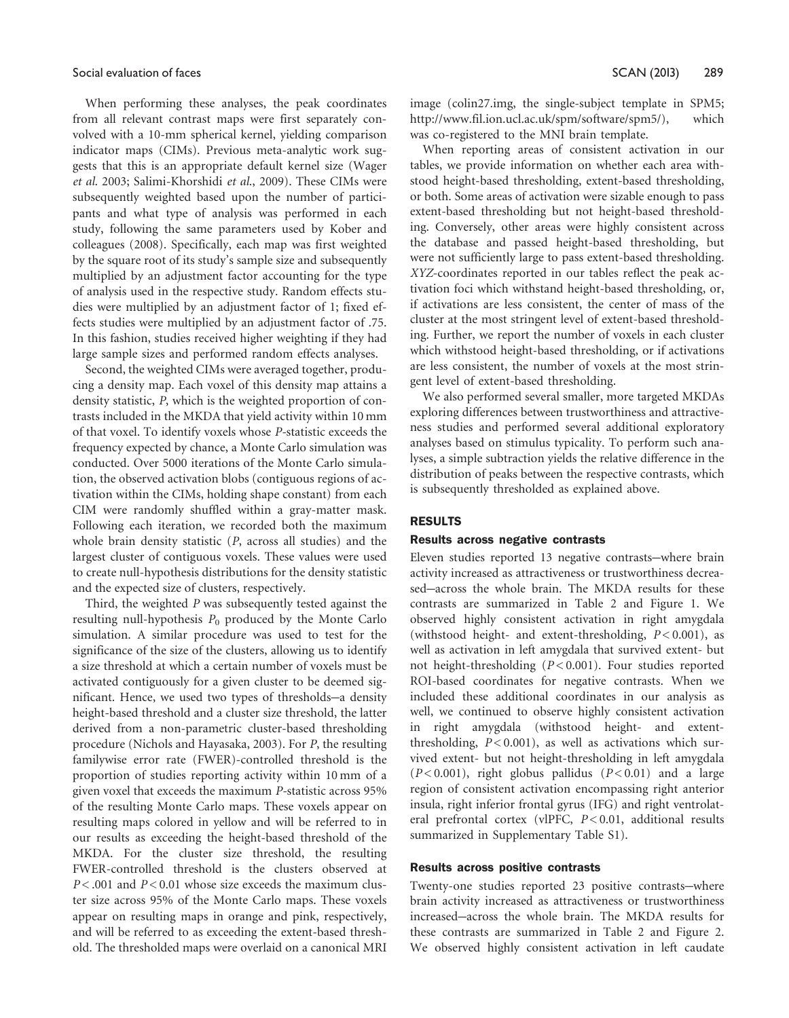When performing these analyses, the peak coordinates from all relevant contrast maps were first separately convolved with a 10-mm spherical kernel, yielding comparison indicator maps (CIMs). Previous meta-analytic work suggests that this is an appropriate default kernel size [\(Wager](#page-13-0) et al[. 2003](#page-13-0); [Salimi-Khorshidi](#page-13-0) et al., 2009). These CIMs were subsequently weighted based upon the number of participants and what type of analysis was performed in each study, following the same parameters used by [Kober and](#page-12-0) [colleagues \(2008\).](#page-12-0) Specifically, each map was first weighted by the square root of its study's sample size and subsequently multiplied by an adjustment factor accounting for the type of analysis used in the respective study. Random effects studies were multiplied by an adjustment factor of 1; fixed effects studies were multiplied by an adjustment factor of .75. In this fashion, studies received higher weighting if they had large sample sizes and performed random effects analyses.

Second, the weighted CIMs were averaged together, producing a density map. Each voxel of this density map attains a density statistic, P, which is the weighted proportion of contrasts included in the MKDA that yield activity within 10 mm of that voxel. To identify voxels whose P-statistic exceeds the frequency expected by chance, a Monte Carlo simulation was conducted. Over 5000 iterations of the Monte Carlo simulation, the observed activation blobs (contiguous regions of activation within the CIMs, holding shape constant) from each CIM were randomly shuffled within a gray-matter mask. Following each iteration, we recorded both the maximum whole brain density statistic (P, across all studies) and the largest cluster of contiguous voxels. These values were used to create null-hypothesis distributions for the density statistic and the expected size of clusters, respectively.

Third, the weighted P was subsequently tested against the resulting null-hypothesis  $P_0$  produced by the Monte Carlo simulation. A similar procedure was used to test for the significance of the size of the clusters, allowing us to identify a size threshold at which a certain number of voxels must be activated contiguously for a given cluster to be deemed significant. Hence, we used two types of thresholds-a density height-based threshold and a cluster size threshold, the latter derived from a non-parametric cluster-based thresholding procedure [\(Nichols and Hayasaka, 2003\)](#page-12-0). For P, the resulting familywise error rate (FWER)-controlled threshold is the proportion of studies reporting activity within 10 mm of a given voxel that exceeds the maximum P-statistic across 95% of the resulting Monte Carlo maps. These voxels appear on resulting maps colored in yellow and will be referred to in our results as exceeding the height-based threshold of the MKDA. For the cluster size threshold, the resulting FWER-controlled threshold is the clusters observed at  $P < .001$  and  $P < 0.01$  whose size exceeds the maximum cluster size across 95% of the Monte Carlo maps. These voxels appear on resulting maps in orange and pink, respectively, and will be referred to as exceeding the extent-based threshold. The thresholded maps were overlaid on a canonical MRI image (colin27.img, the single-subject template in SPM5; [http://www.fil.ion.ucl.ac.uk/spm/software/spm5/\)](http://www.fil.ion.ucl.ac.uk/spm/software/spm5/), which was co-registered to the MNI brain template.

When reporting areas of consistent activation in our tables, we provide information on whether each area withstood height-based thresholding, extent-based thresholding, or both. Some areas of activation were sizable enough to pass extent-based thresholding but not height-based thresholding. Conversely, other areas were highly consistent across the database and passed height-based thresholding, but were not sufficiently large to pass extent-based thresholding. XYZ-coordinates reported in our tables reflect the peak activation foci which withstand height-based thresholding, or, if activations are less consistent, the center of mass of the cluster at the most stringent level of extent-based thresholding. Further, we report the number of voxels in each cluster which withstood height-based thresholding, or if activations are less consistent, the number of voxels at the most stringent level of extent-based thresholding.

We also performed several smaller, more targeted MKDAs exploring differences between trustworthiness and attractiveness studies and performed several additional exploratory analyses based on stimulus typicality. To perform such analyses, a simple subtraction yields the relative difference in the distribution of peaks between the respective contrasts, which is subsequently thresholded as explained above.

# RESULTS

### Results across negative contrasts

Eleven studies reported 13 negative contrasts-where brain activity increased as attractiveness or trustworthiness decreased-across the whole brain. The MKDA results for these contrasts are summarized in [Table 2](#page-5-0) and Figure 1. We observed highly consistent activation in right amygdala (withstood height- and extent-thresholding,  $P < 0.001$ ), as well as activation in left amygdala that survived extent- but not height-thresholding  $(P < 0.001)$ . Four studies reported ROI-based coordinates for negative contrasts. When we included these additional coordinates in our analysis as well, we continued to observe highly consistent activation in right amygdala (withstood height- and extentthresholding,  $P < 0.001$ ), as well as activations which survived extent- but not height-thresholding in left amygdala  $(P<0.001)$ , right globus pallidus  $(P<0.01)$  and a large region of consistent activation encompassing right anterior insula, right inferior frontal gyrus (IFG) and right ventrolateral prefrontal cortex (vlPFC, P<0.01, additional results summarized in [Supplementary Table S1\)](http://scan.oxfordjournals.org/cgi/content/full/nsr090/DC1).

# Results across positive contrasts

Twenty-one studies reported 23 positive contrasts-where brain activity increased as attractiveness or trustworthiness increased-across the whole brain. The MKDA results for these contrasts are summarized in [Table 2](#page-5-0) and Figure 2. We observed highly consistent activation in left caudate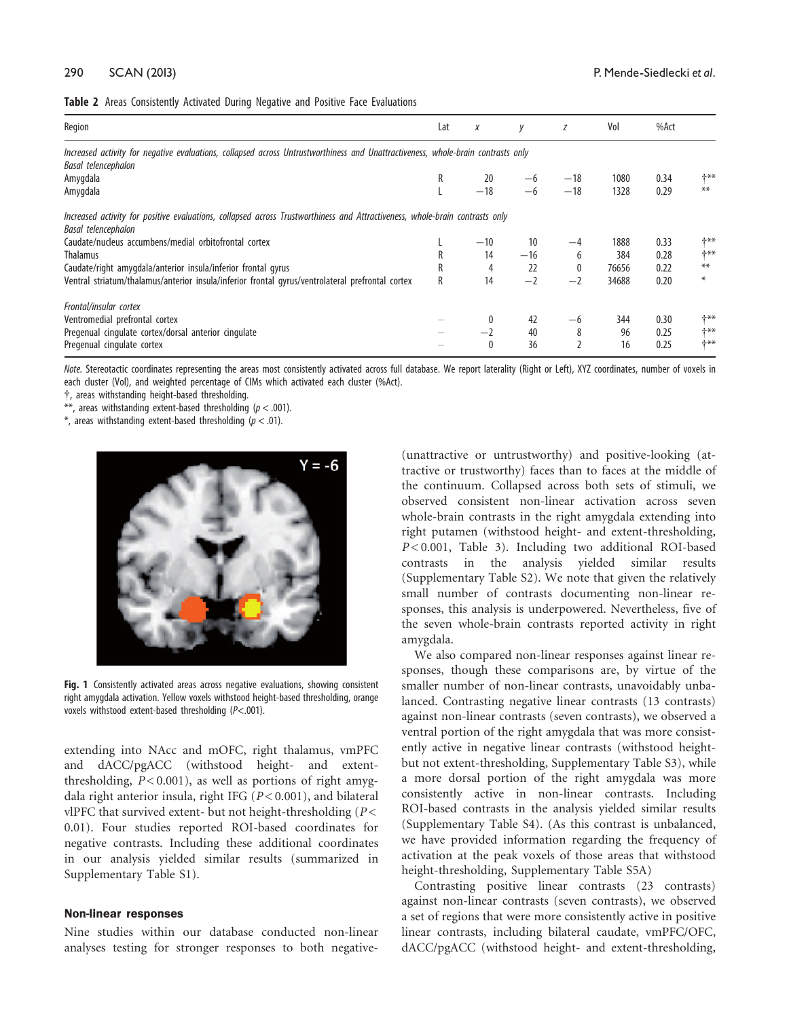<span id="page-5-0"></span>

|  |  | Table 2 Areas Consistently Activated During Negative and Positive Face Evaluations |  |  |  |  |  |  |  |
|--|--|------------------------------------------------------------------------------------|--|--|--|--|--|--|--|
|--|--|------------------------------------------------------------------------------------|--|--|--|--|--|--|--|

| Region                                                                                                                                                  | Lat | X     | у     | Z       | Vol   | %Act |        |
|---------------------------------------------------------------------------------------------------------------------------------------------------------|-----|-------|-------|---------|-------|------|--------|
| Increased activity for negative evaluations, collapsed across Untrustworthiness and Unattractiveness, whole-brain contrasts only<br>Basal telencephalon |     |       |       |         |       |      |        |
| Amygdala                                                                                                                                                | R   | 20    | -6    | $-18$   | 1080  | 0.34 | $+***$ |
| Amygdala                                                                                                                                                |     | $-18$ | $-6$  | $-18$   | 1328  | 0.29 | $***$  |
| Increased activity for positive evaluations, collapsed across Trustworthiness and Attractiveness, whole-brain contrasts only<br>Basal telencephalon     |     |       |       |         |       |      |        |
| Caudate/nucleus accumbens/medial orbitofrontal cortex                                                                                                   |     | $-10$ |       | $-4$    | 1888  | 0.33 | $+***$ |
| <b>Thalamus</b>                                                                                                                                         | R   | 14    | $-16$ | 6       | 384   | 0.28 | $+***$ |
| Caudate/right amygdala/anterior insula/inferior frontal gyrus                                                                                           | R   |       | 22    |         | 76656 | 0.22 | $***$  |
| Ventral striatum/thalamus/anterior insula/inferior frontal gyrus/ventrolateral prefrontal cortex                                                        | R   | 14    | $-2$  | $^{-2}$ | 34688 | 0.20 | $\ast$ |
| Frontal/insular cortex                                                                                                                                  |     |       |       |         |       |      |        |
| Ventromedial prefrontal cortex                                                                                                                          |     |       | 42    | —ჩ      | 344   | 0.30 | $+***$ |
| Pregenual cingulate cortex/dorsal anterior cingulate                                                                                                    |     | $-2$  | 40    | 8       | 96    | 0.25 | $+***$ |
| Pregenual cingulate cortex                                                                                                                              |     |       | 36    |         | 16    | 0.25 | $+***$ |

Note. Stereotactic coordinates representing the areas most consistently activated across full database. We report laterality (Right or Left), XYZ coordinates, number of voxels in each cluster (Vol), and weighted percentage of CIMs which activated each cluster (%Act).

 $\dagger$ , areas withstanding height-based thresholding.

\*\*, areas withstanding extent-based thresholding ( $p < .001$ ).

 $*$ , areas withstanding extent-based thresholding ( $p < .01$ ).



Fig. 1 Consistently activated areas across negative evaluations, showing consistent right amygdala activation. Yellow voxels withstood height-based thresholding, orange voxels withstood extent-based thresholding (P<.001).

extending into NAcc and mOFC, right thalamus, vmPFC and dACC/pgACC (withstood height- and extentthresholding,  $P < 0.001$ ), as well as portions of right amygdala right anterior insula, right IFG ( $P < 0.001$ ), and bilateral vlPFC that survived extent- but not height-thresholding ( $P$  < 0.01). Four studies reported ROI-based coordinates for negative contrasts. Including these additional coordinates in our analysis yielded similar results (summarized in [Supplementary Table S1\)](http://scan.oxfordjournals.org/cgi/content/full/nsr090/DC1).

# Non-linear responses

Nine studies within our database conducted non-linear analyses testing for stronger responses to both negative(unattractive or untrustworthy) and positive-looking (attractive or trustworthy) faces than to faces at the middle of the continuum. Collapsed across both sets of stimuli, we observed consistent non-linear activation across seven whole-brain contrasts in the right amygdala extending into right putamen (withstood height- and extent-thresholding, P < 0.001, [Table 3](#page-6-0)). Including two additional ROI-based contrasts in the analysis yielded similar results ([Supplementary Table S2](http://scan.oxfordjournals.org/cgi/content/full/nsr090/DC1)). We note that given the relatively small number of contrasts documenting non-linear responses, this analysis is underpowered. Nevertheless, five of the seven whole-brain contrasts reported activity in right amygdala.

We also compared non-linear responses against linear responses, though these comparisons are, by virtue of the smaller number of non-linear contrasts, unavoidably unbalanced. Contrasting negative linear contrasts (13 contrasts) against non-linear contrasts (seven contrasts), we observed a ventral portion of the right amygdala that was more consistently active in negative linear contrasts (withstood heightbut not extent-thresholding, [Supplementary Table S3\)](http://scan.oxfordjournals.org/cgi/content/full/nsr090/DC1), while a more dorsal portion of the right amygdala was more consistently active in non-linear contrasts. Including ROI-based contrasts in the analysis yielded similar results ([Supplementary Table S4](http://scan.oxfordjournals.org/cgi/content/full/nsr090/DC1)). (As this contrast is unbalanced, we have provided information regarding the frequency of activation at the peak voxels of those areas that withstood height-thresholding, [Supplementary Table S5A](http://scan.oxfordjournals.org/cgi/content/full/nsr090/DC1))

Contrasting positive linear contrasts (23 contrasts) against non-linear contrasts (seven contrasts), we observed a set of regions that were more consistently active in positive linear contrasts, including bilateral caudate, vmPFC/OFC, dACC/pgACC (withstood height- and extent-thresholding,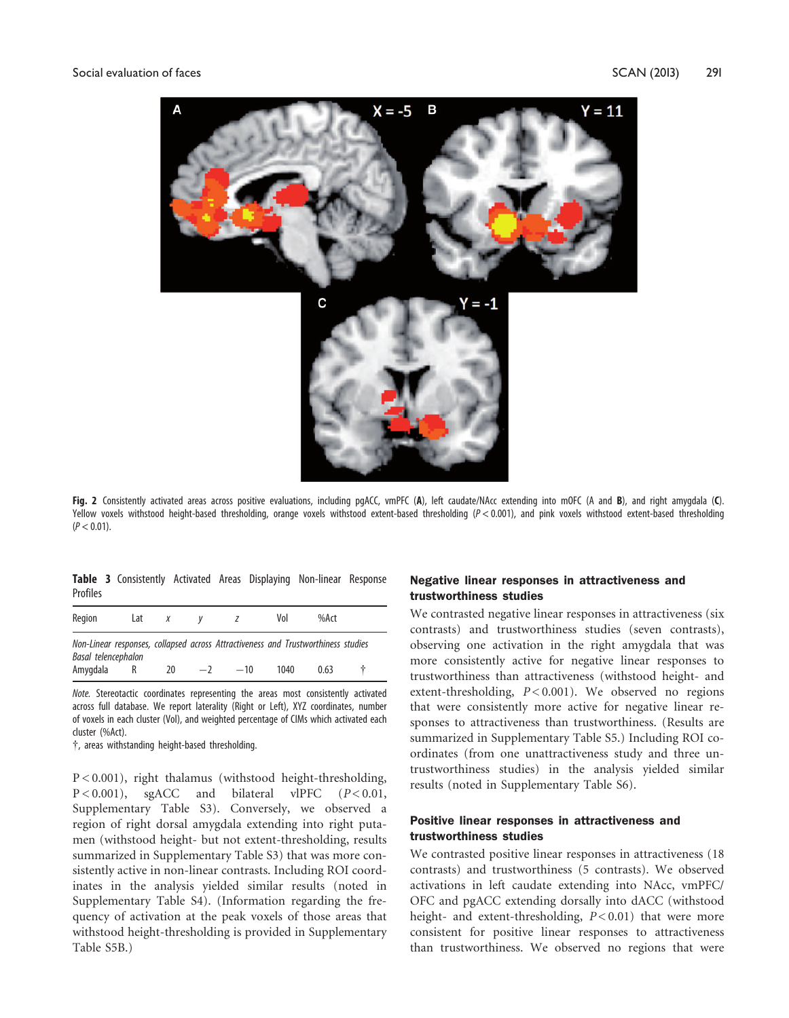<span id="page-6-0"></span>

Fig. 2 Consistently activated areas across positive evaluations, including pgACC, vmPFC (A), left caudate/NAcc extending into mOFC (A and B), and right amygdala (C). Yellow voxels withstood height-based thresholding, orange voxels withstood extent-based thresholding  $(P < 0.001)$ , and pink voxels withstood extent-based thresholding  $(P < 0.01)$ .

Table 3 Consistently Activated Areas Displaying Non-linear Response Profiles

| Region              | Lat | X  |      |                                                                                   | Vol  | %Act |  |
|---------------------|-----|----|------|-----------------------------------------------------------------------------------|------|------|--|
| Basal telencephalon |     |    |      | Non-Linear responses, collapsed across Attractiveness and Trustworthiness studies |      |      |  |
| Amygdala            |     | 20 | $-2$ | $-10$                                                                             | 1040 | 0.63 |  |

Note. Stereotactic coordinates representing the areas most consistently activated across full database. We report laterality (Right or Left), XYZ coordinates, number of voxels in each cluster (Vol), and weighted percentage of CIMs which activated each cluster (%Act).

 $\dagger$ , areas withstanding height-based thresholding.

P < 0.001), right thalamus (withstood height-thresholding,  $P < 0.001$ ), sgACC and bilateral vlPFC  $(P < 0.01$ , [Supplementary Table S3\)](http://scan.oxfordjournals.org/cgi/content/full/nsr090/DC1). Conversely, we observed a region of right dorsal amygdala extending into right putamen (withstood height- but not extent-thresholding, results summarized in [Supplementary Table S3](http://scan.oxfordjournals.org/cgi/content/full/nsr090/DC1)) that was more consistently active in non-linear contrasts. Including ROI coordinates in the analysis yielded similar results (noted in [Supplementary Table S4\)](http://scan.oxfordjournals.org/cgi/content/full/nsr090/DC1). (Information regarding the frequency of activation at the peak voxels of those areas that withstood height-thresholding is provided in [Supplementary](http://scan.oxfordjournals.org/cgi/content/full/nsr090/DC1) [Table S5B](http://scan.oxfordjournals.org/cgi/content/full/nsr090/DC1).)

# Negative linear responses in attractiveness and trustworthiness studies

We contrasted negative linear responses in attractiveness (six contrasts) and trustworthiness studies (seven contrasts), observing one activation in the right amygdala that was more consistently active for negative linear responses to trustworthiness than attractiveness (withstood height- and extent-thresholding,  $P < 0.001$ ). We observed no regions that were consistently more active for negative linear responses to attractiveness than trustworthiness. (Results are summarized in [Supplementary Table S5](http://scan.oxfordjournals.org/cgi/content/full/nsr090/DC1).) Including ROI coordinates (from one unattractiveness study and three untrustworthiness studies) in the analysis yielded similar results (noted in [Supplementary Table S6](http://scan.oxfordjournals.org/cgi/content/full/nsr090/DC1)).

# Positive linear responses in attractiveness and trustworthiness studies

We contrasted positive linear responses in attractiveness (18 contrasts) and trustworthiness (5 contrasts). We observed activations in left caudate extending into NAcc, vmPFC/ OFC and pgACC extending dorsally into dACC (withstood height- and extent-thresholding,  $P < 0.01$ ) that were more consistent for positive linear responses to attractiveness than trustworthiness. We observed no regions that were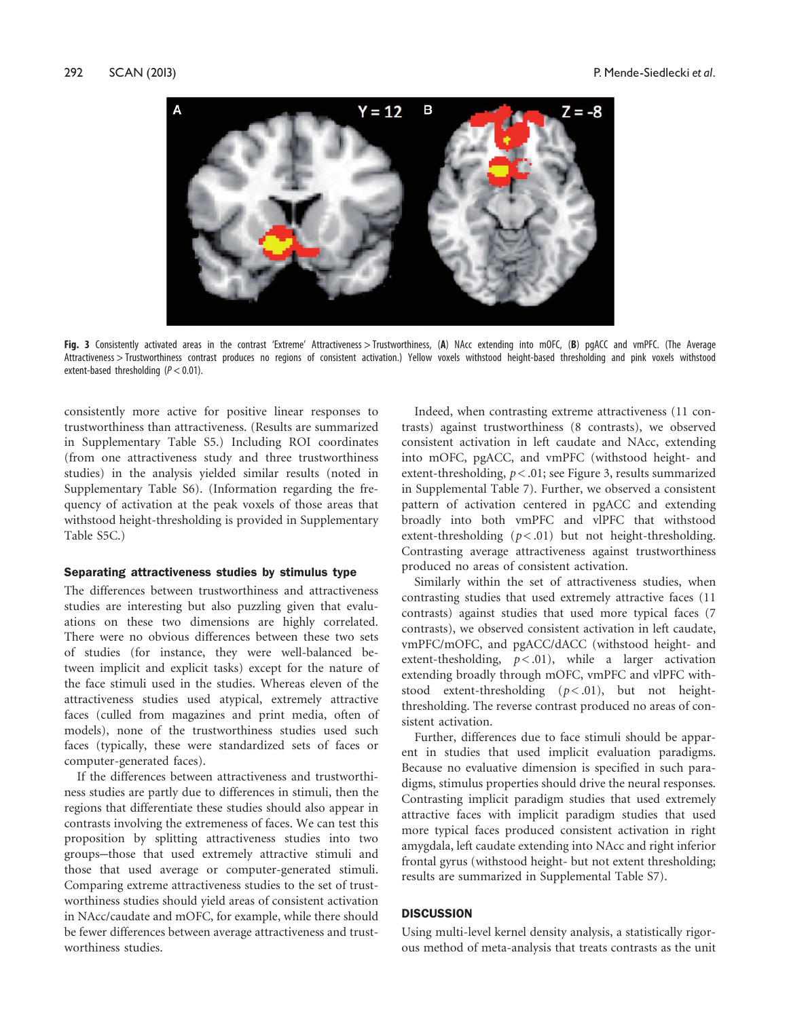

Fig. 3 Consistently activated areas in the contrast 'Extreme' Attractiveness > Trustworthiness, (A) NAcc extending into mOFC, (B) pgACC and vmPFC. (The Average Attractiveness > Trustworthiness contrast produces no regions of consistent activation.) Yellow voxels withstood height-based thresholding and pink voxels withstood extent-based thresholding  $(P < 0.01)$ .

consistently more active for positive linear responses to trustworthiness than attractiveness. (Results are summarized in [Supplementary Table S5.](http://scan.oxfordjournals.org/cgi/content/full/nsr090/DC1)) Including ROI coordinates (from one attractiveness study and three trustworthiness studies) in the analysis yielded similar results (noted in [Supplementary Table S6](http://scan.oxfordjournals.org/cgi/content/full/nsr090/DC1)). (Information regarding the frequency of activation at the peak voxels of those areas that withstood height-thresholding is provided in [Supplementary](http://scan.oxfordjournals.org/cgi/content/full/nsr090/DC1) [Table S5C](http://scan.oxfordjournals.org/cgi/content/full/nsr090/DC1).)

### Separating attractiveness studies by stimulus type

The differences between trustworthiness and attractiveness studies are interesting but also puzzling given that evaluations on these two dimensions are highly correlated. There were no obvious differences between these two sets of studies (for instance, they were well-balanced between implicit and explicit tasks) except for the nature of the face stimuli used in the studies. Whereas eleven of the attractiveness studies used atypical, extremely attractive faces (culled from magazines and print media, often of models), none of the trustworthiness studies used such faces (typically, these were standardized sets of faces or computer-generated faces).

If the differences between attractiveness and trustworthiness studies are partly due to differences in stimuli, then the regions that differentiate these studies should also appear in contrasts involving the extremeness of faces. We can test this proposition by splitting attractiveness studies into two groups-those that used extremely attractive stimuli and those that used average or computer-generated stimuli. Comparing extreme attractiveness studies to the set of trustworthiness studies should yield areas of consistent activation in NAcc/caudate and mOFC, for example, while there should be fewer differences between average attractiveness and trustworthiness studies.

Indeed, when contrasting extreme attractiveness (11 contrasts) against trustworthiness (8 contrasts), we observed consistent activation in left caudate and NAcc, extending into mOFC, pgACC, and vmPFC (withstood height- and extent-thresholding,  $p < .01$ ; see Figure 3, results summarized in [Supplemental Table 7\)](http://scan.oxfordjournals.org/cgi/content/full/nsr090/DC1). Further, we observed a consistent pattern of activation centered in pgACC and extending broadly into both vmPFC and vlPFC that withstood extent-thresholding  $(p < .01)$  but not height-thresholding. Contrasting average attractiveness against trustworthiness produced no areas of consistent activation.

Similarly within the set of attractiveness studies, when contrasting studies that used extremely attractive faces (11 contrasts) against studies that used more typical faces (7 contrasts), we observed consistent activation in left caudate, vmPFC/mOFC, and pgACC/dACC (withstood height- and extent-thesholding,  $p < .01$ ), while a larger activation extending broadly through mOFC, vmPFC and vlPFC withstood extent-thresholding  $(p < .01)$ , but not heightthresholding. The reverse contrast produced no areas of consistent activation.

Further, differences due to face stimuli should be apparent in studies that used implicit evaluation paradigms. Because no evaluative dimension is specified in such paradigms, stimulus properties should drive the neural responses. Contrasting implicit paradigm studies that used extremely attractive faces with implicit paradigm studies that used more typical faces produced consistent activation in right amygdala, left caudate extending into NAcc and right inferior frontal gyrus (withstood height- but not extent thresholding; results are summarized in [Supplemental Table S7](http://scan.oxfordjournals.org/cgi/content/full/nsr090/DC1)).

# **DISCUSSION**

Using multi-level kernel density analysis, a statistically rigorous method of meta-analysis that treats contrasts as the unit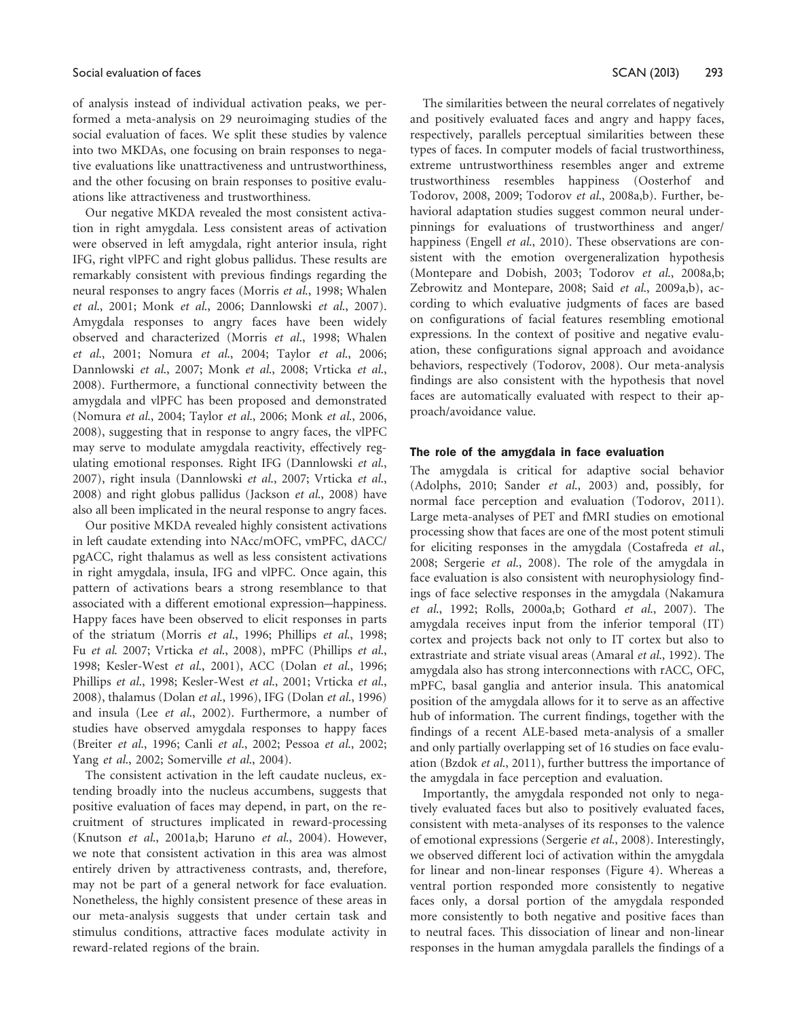of analysis instead of individual activation peaks, we performed a meta-analysis on 29 neuroimaging studies of the social evaluation of faces. We split these studies by valence into two MKDAs, one focusing on brain responses to negative evaluations like unattractiveness and untrustworthiness, and the other focusing on brain responses to positive evaluations like attractiveness and trustworthiness.

Our negative MKDA revealed the most consistent activation in right amygdala. Less consistent areas of activation were observed in left amygdala, right anterior insula, right IFG, right vlPFC and right globus pallidus. These results are remarkably consistent with previous findings regarding the neural responses to angry faces [\(Morris](#page-12-0) et al., 1998; [Whalen](#page-13-0) et al[., 2001;](#page-13-0) Monk et al[., 2006](#page-12-0); [Dannlowski](#page-11-0) et al., 2007). Amygdala responses to angry faces have been widely observed and characterized (Morris et al[., 1998](#page-12-0); [Whalen](#page-13-0) et al[., 2001;](#page-13-0) [Nomura](#page-12-0) et al., 2004; Taylor et al[., 2006;](#page-13-0) [Dannlowski](#page-11-0) et al., 2007; Monk et al[., 2008;](#page-12-0) [Vrticka](#page-13-0) et al., [2008](#page-13-0)). Furthermore, a functional connectivity between the amygdala and vlPFC has been proposed and demonstrated [\(Nomura](#page-12-0) et al., 2004; Taylor et al[., 2006;](#page-13-0) Monk et al[., 2006,](#page-12-0) [2008](#page-12-0)), suggesting that in response to angry faces, the vlPFC may serve to modulate amygdala reactivity, effectively regulating emotional responses. Right IFG ([Dannlowski](#page-11-0) et al., [2007](#page-11-0)), right insula [\(Dannlowski](#page-11-0) et al., 2007; [Vrticka](#page-13-0) et al., [2008](#page-13-0)) and right globus pallidus [\(Jackson](#page-12-0) et al., 2008) have also all been implicated in the neural response to angry faces.

Our positive MKDA revealed highly consistent activations in left caudate extending into NAcc/mOFC, vmPFC, dACC/ pgACC, right thalamus as well as less consistent activations in right amygdala, insula, IFG and vlPFC. Once again, this pattern of activations bears a strong resemblance to that associated with a different emotional expression-happiness. Happy faces have been observed to elicit responses in parts of the striatum (Morris et al[., 1996; Phillips](#page-12-0) et al., 1998; Fu et al[. 2007](#page-11-0); [Vrticka](#page-13-0) et al., 2008), mPFC [\(Phillips](#page-12-0) et al., [1998](#page-12-0); [Kesler-West](#page-12-0) et al., 2001), ACC (Dolan et al[., 1996;](#page-11-0) [Phillips](#page-12-0) et al., 1998; [Kesler-West](#page-12-0) et al., 2001; [Vrticka](#page-13-0) et al., [2008](#page-13-0)), thalamus (Dolan et al[., 1996\)](#page-11-0), IFG (Dolan et al[., 1996\)](#page-11-0) and insula (Lee et al[., 2002\)](#page-12-0). Furthermore, a number of studies have observed amygdala responses to happy faces (Breiter et al[., 1996](#page-11-0); Canli et al[., 2002](#page-11-0); Pessoa et al[., 2002;](#page-12-0) Yang et al[., 2002](#page-13-0); [Somerville](#page-13-0) et al., 2004).

The consistent activation in the left caudate nucleus, extending broadly into the nucleus accumbens, suggests that positive evaluation of faces may depend, in part, on the recruitment of structures implicated in reward-processing [\(Knutson](#page-12-0) et al., 2001a[,b](#page-12-0); [Haruno](#page-12-0) et al., 2004). However, we note that consistent activation in this area was almost entirely driven by attractiveness contrasts, and, therefore, may not be part of a general network for face evaluation. Nonetheless, the highly consistent presence of these areas in our meta-analysis suggests that under certain task and stimulus conditions, attractive faces modulate activity in reward-related regions of the brain.

The similarities between the neural correlates of negatively and positively evaluated faces and angry and happy faces, respectively, parallels perceptual similarities between these types of faces. In computer models of facial trustworthiness, extreme untrustworthiness resembles anger and extreme trustworthiness resembles happiness ([Oosterhof and](#page-12-0) [Todorov, 2008](#page-12-0), [2009](#page-12-0); [Todorov](#page-13-0) et al., 2008a,[b\)](#page-13-0). Further, behavioral adaptation studies suggest common neural underpinnings for evaluations of trustworthiness and anger/ happiness (Engell et al[., 2010](#page-11-0)). These observations are consistent with the emotion overgeneralization hypothesis [\(Montepare and Dobish, 2003](#page-12-0); [Todorov](#page-13-0) et al., 2008a,[b;](#page-13-0) [Zebrowitz and Montepare, 2008;](#page-14-0) Said et al[., 2009a](#page-13-0),[b\)](#page-13-0), according to which evaluative judgments of faces are based on configurations of facial features resembling emotional expressions. In the context of positive and negative evaluation, these configurations signal approach and avoidance behaviors, respectively [\(Todorov, 2008\)](#page-13-0). Our meta-analysis findings are also consistent with the hypothesis that novel faces are automatically evaluated with respect to their approach/avoidance value.

#### The role of the amygdala in face evaluation

The amygdala is critical for adaptive social behavior [\(Adolphs, 2010](#page-11-0); Sander et al[., 2003](#page-13-0)) and, possibly, for normal face perception and evaluation [\(Todorov, 2011](#page-13-0)). Large meta-analyses of PET and fMRI studies on emotional processing show that faces are one of the most potent stimuli for eliciting responses in the amygdala [\(Costafreda](#page-11-0) et al., [2008](#page-11-0); [Sergerie](#page-13-0) et al., 2008). The role of the amygdala in face evaluation is also consistent with neurophysiology findings of face selective responses in the amygdala ([Nakamura](#page-12-0) et al[., 1992](#page-12-0); [Rolls, 2000a,b](#page-13-0); [Gothard](#page-11-0) et al., 2007). The amygdala receives input from the inferior temporal (IT) cortex and projects back not only to IT cortex but also to extrastriate and striate visual areas ([Amaral](#page-11-0) et al., 1992). The amygdala also has strong interconnections with rACC, OFC, mPFC, basal ganglia and anterior insula. This anatomical position of the amygdala allows for it to serve as an affective hub of information. The current findings, together with the findings of a recent ALE-based meta-analysis of a smaller and only partially overlapping set of 16 studies on face evaluation (Bzdok et al[., 2011\)](#page-11-0), further buttress the importance of the amygdala in face perception and evaluation.

Importantly, the amygdala responded not only to negatively evaluated faces but also to positively evaluated faces, consistent with meta-analyses of its responses to the valence of emotional expressions [\(Sergerie](#page-13-0) et al., 2008). Interestingly, we observed different loci of activation within the amygdala for linear and non-linear responses (Figure 4). Whereas a ventral portion responded more consistently to negative faces only, a dorsal portion of the amygdala responded more consistently to both negative and positive faces than to neutral faces. This dissociation of linear and non-linear responses in the human amygdala parallels the findings of a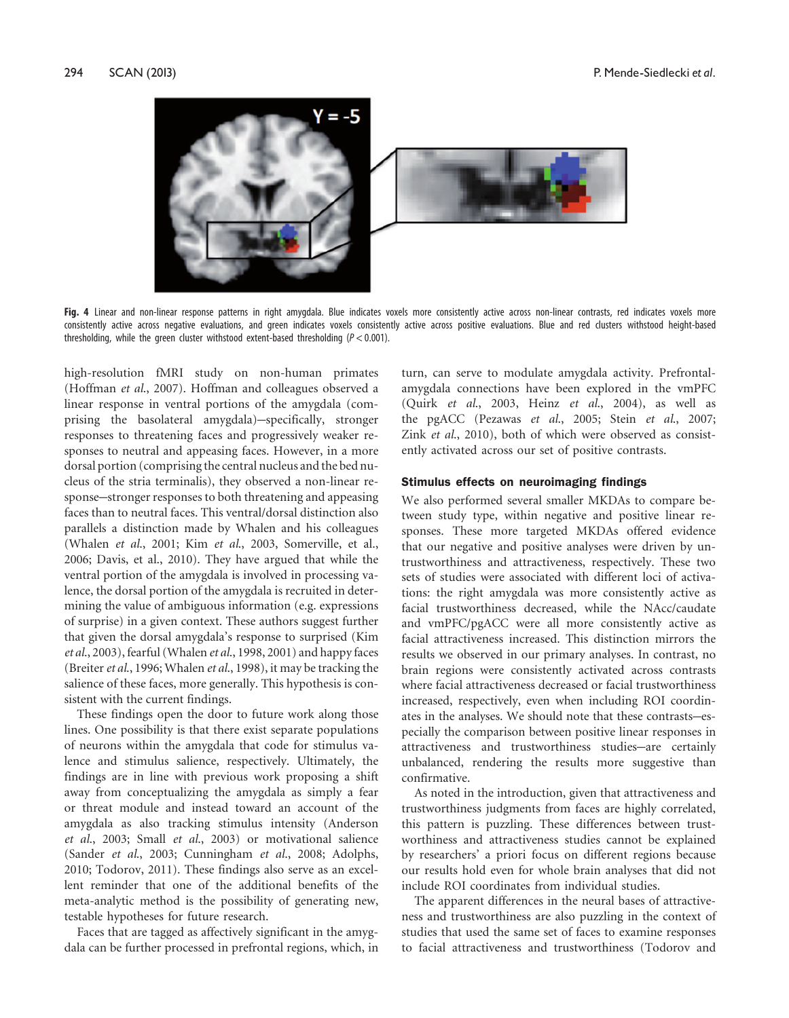

Fig. 4 Linear and non-linear response patterns in right amygdala. Blue indicates voxels more consistently active across non-linear contrasts, red indicates voxels more consistently active across negative evaluations, and green indicates voxels consistently active across positive evaluations. Blue and red clusters withstood height-based thresholding, while the green cluster withstood extent-based thresholding  $(P < 0.001)$ .

high-resolution fMRI study on non-human primates ([Hoffman](#page-12-0) et al., 2007). Hoffman and colleagues observed a linear response in ventral portions of the amygdala (comprising the basolateral amygdala)-specifically, stronger responses to threatening faces and progressively weaker responses to neutral and appeasing faces. However, in a more dorsal portion (comprising the central nucleus and the bed nucleus of the stria terminalis), they observed a non-linear response-stronger responses to both threatening and appeasing faces than to neutral faces. This ventral/dorsal distinction also parallels a distinction made by Whalen and his colleagues ([Whalen](#page-13-0) et al., 2001; Kim et al[., 2003,](#page-12-0) [Somerville, et al.,](#page-13-0) [2006;](#page-13-0) [Davis, et al., 2010](#page-11-0)). They have argued that while the ventral portion of the amygdala is involved in processing valence, the dorsal portion of the amygdala is recruited in determining the value of ambiguous information (e.g. expressions of surprise) in a given context. These authors suggest further that given the dorsal amygdala's response to surprised [\(Kim](#page-12-0) et al[., 2003\)](#page-12-0), fearful ([Whalen](#page-13-0) et al., 1998, [2001\)](#page-13-0) and happy faces ([Breiter](#page-11-0) et al., 1996; [Whalen](#page-13-0) et al., 1998), it may be tracking the salience of these faces, more generally. This hypothesis is consistent with the current findings.

These findings open the door to future work along those lines. One possibility is that there exist separate populations of neurons within the amygdala that code for stimulus valence and stimulus salience, respectively. Ultimately, the findings are in line with previous work proposing a shift away from conceptualizing the amygdala as simply a fear or threat module and instead toward an account of the amygdala as also tracking stimulus intensity ([Anderson](#page-11-0) et al[., 2003;](#page-11-0) Small et al[., 2003\)](#page-13-0) or motivational salience (Sander et al[., 2003](#page-13-0); [Cunningham](#page-11-0) et al., 2008; [Adolphs,](#page-11-0) [2010;](#page-11-0) [Todorov, 2011](#page-13-0)). These findings also serve as an excellent reminder that one of the additional benefits of the meta-analytic method is the possibility of generating new, testable hypotheses for future research.

Faces that are tagged as affectively significant in the amygdala can be further processed in prefrontal regions, which, in turn, can serve to modulate amygdala activity. Prefrontalamygdala connections have been explored in the vmPFC (Quirk et al[., 2003](#page-13-0), Heinz et al[., 2004](#page-12-0)), as well as the pgACC ([Pezawas](#page-12-0) et al., 2005; Stein et al[., 2007;](#page-13-0) Zink et al[., 2010\)](#page-14-0), both of which were observed as consistently activated across our set of positive contrasts.

# Stimulus effects on neuroimaging findings

We also performed several smaller MKDAs to compare between study type, within negative and positive linear responses. These more targeted MKDAs offered evidence that our negative and positive analyses were driven by untrustworthiness and attractiveness, respectively. These two sets of studies were associated with different loci of activations: the right amygdala was more consistently active as facial trustworthiness decreased, while the NAcc/caudate and vmPFC/pgACC were all more consistently active as facial attractiveness increased. This distinction mirrors the results we observed in our primary analyses. In contrast, no brain regions were consistently activated across contrasts where facial attractiveness decreased or facial trustworthiness increased, respectively, even when including ROI coordinates in the analyses. We should note that these contrasts-especially the comparison between positive linear responses in attractiveness and trustworthiness studies-are certainly unbalanced, rendering the results more suggestive than confirmative.

As noted in the introduction, given that attractiveness and trustworthiness judgments from faces are highly correlated, this pattern is puzzling. These differences between trustworthiness and attractiveness studies cannot be explained by researchers' a priori focus on different regions because our results hold even for whole brain analyses that did not include ROI coordinates from individual studies.

The apparent differences in the neural bases of attractiveness and trustworthiness are also puzzling in the context of studies that used the same set of faces to examine responses to facial attractiveness and trustworthiness ([Todorov and](#page-13-0)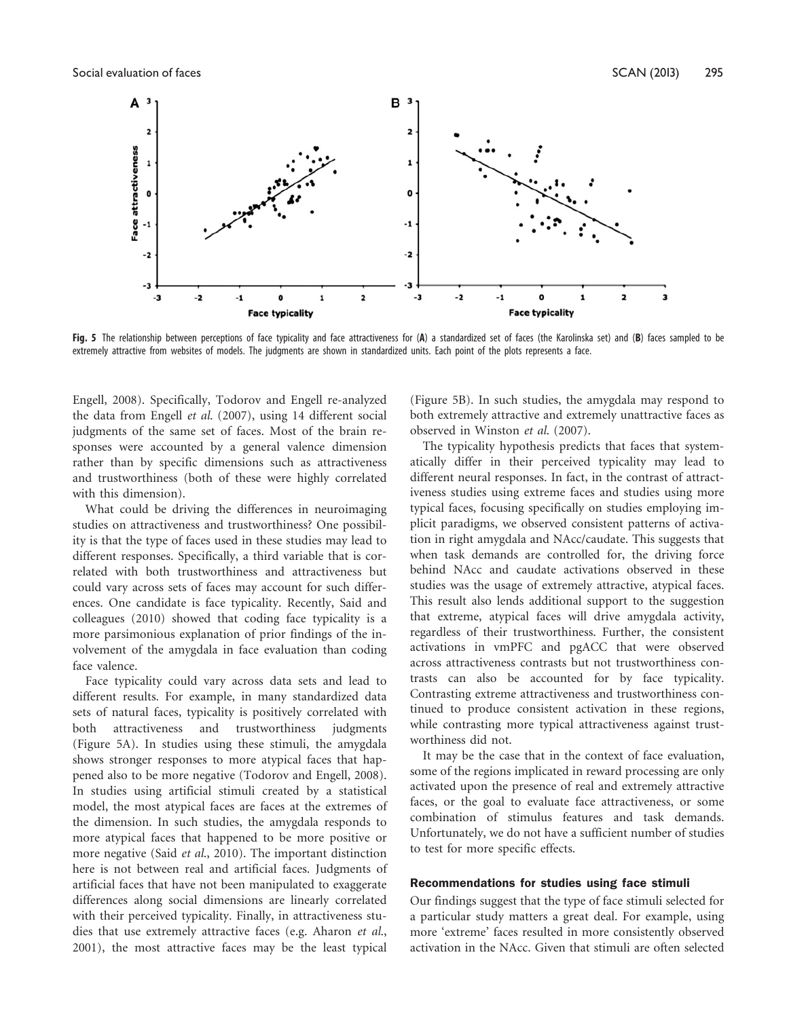

Fig. 5 The relationship between perceptions of face typicality and face attractiveness for (A) a standardized set of faces (the Karolinska set) and (B) faces sampled to be extremely attractive from websites of models. The judgments are shown in standardized units. Each point of the plots represents a face.

[Engell, 2008](#page-13-0)). Specifically, Todorov and Engell re-analyzed the data from Engell et al[. \(2007\),](#page-11-0) using 14 different social judgments of the same set of faces. Most of the brain responses were accounted by a general valence dimension rather than by specific dimensions such as attractiveness and trustworthiness (both of these were highly correlated with this dimension).

What could be driving the differences in neuroimaging studies on attractiveness and trustworthiness? One possibility is that the type of faces used in these studies may lead to different responses. Specifically, a third variable that is correlated with both trustworthiness and attractiveness but could vary across sets of faces may account for such differences. One candidate is face typicality. Recently, [Said and](#page-13-0) [colleagues \(2010\)](#page-13-0) showed that coding face typicality is a more parsimonious explanation of prior findings of the involvement of the amygdala in face evaluation than coding face valence.

Face typicality could vary across data sets and lead to different results. For example, in many standardized data sets of natural faces, typicality is positively correlated with both attractiveness and trustworthiness judgments (Figure 5A). In studies using these stimuli, the amygdala shows stronger responses to more atypical faces that happened also to be more negative [\(Todorov and Engell, 2008](#page-13-0)). In studies using artificial stimuli created by a statistical model, the most atypical faces are faces at the extremes of the dimension. In such studies, the amygdala responds to more atypical faces that happened to be more positive or more negative (Said et al[., 2010](#page-13-0)). The important distinction here is not between real and artificial faces. Judgments of artificial faces that have not been manipulated to exaggerate differences along social dimensions are linearly correlated with their perceived typicality. Finally, in attractiveness studies that use extremely attractive faces (e.g. [Aharon](#page-11-0) et al., [2001](#page-11-0)), the most attractive faces may be the least typical (Figure 5B). In such studies, the amygdala may respond to both extremely attractive and extremely unattractive faces as observed in [Winston](#page-13-0) et al. (2007).

The typicality hypothesis predicts that faces that systematically differ in their perceived typicality may lead to different neural responses. In fact, in the contrast of attractiveness studies using extreme faces and studies using more typical faces, focusing specifically on studies employing implicit paradigms, we observed consistent patterns of activation in right amygdala and NAcc/caudate. This suggests that when task demands are controlled for, the driving force behind NAcc and caudate activations observed in these studies was the usage of extremely attractive, atypical faces. This result also lends additional support to the suggestion that extreme, atypical faces will drive amygdala activity, regardless of their trustworthiness. Further, the consistent activations in vmPFC and pgACC that were observed across attractiveness contrasts but not trustworthiness contrasts can also be accounted for by face typicality. Contrasting extreme attractiveness and trustworthiness continued to produce consistent activation in these regions, while contrasting more typical attractiveness against trustworthiness did not.

It may be the case that in the context of face evaluation, some of the regions implicated in reward processing are only activated upon the presence of real and extremely attractive faces, or the goal to evaluate face attractiveness, or some combination of stimulus features and task demands. Unfortunately, we do not have a sufficient number of studies to test for more specific effects.

#### Recommendations for studies using face stimuli

Our findings suggest that the type of face stimuli selected for a particular study matters a great deal. For example, using more 'extreme' faces resulted in more consistently observed activation in the NAcc. Given that stimuli are often selected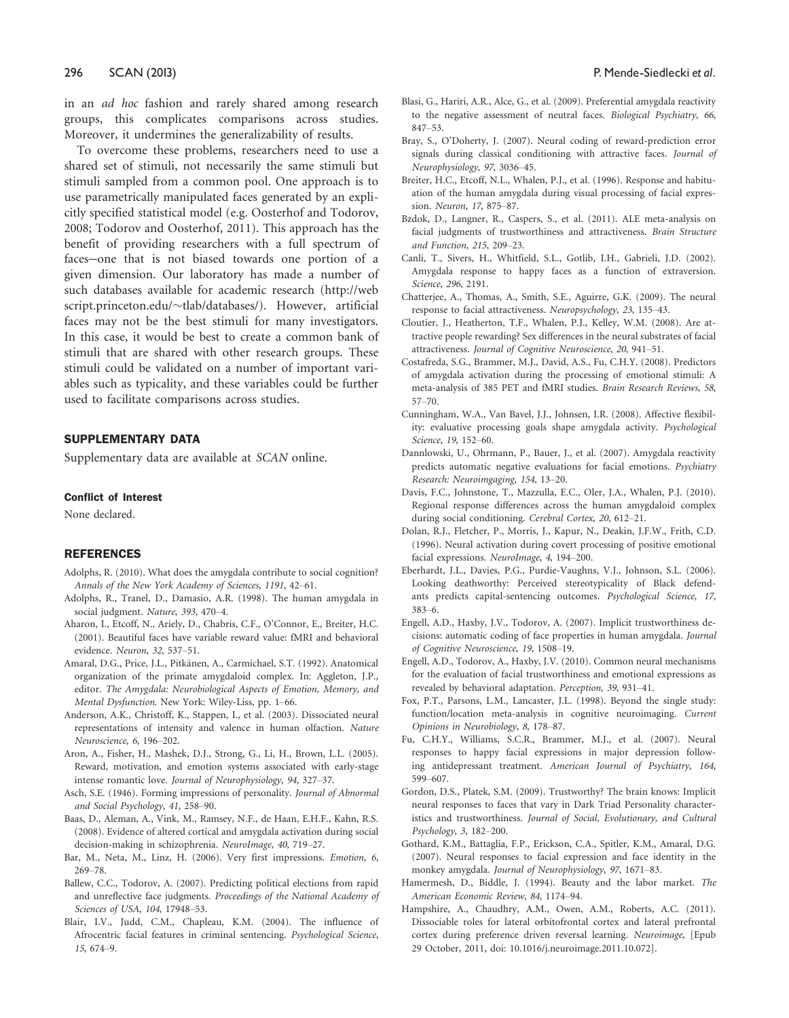<span id="page-11-0"></span>in an ad hoc fashion and rarely shared among research groups, this complicates comparisons across studies. Moreover, it undermines the generalizability of results.

To overcome these problems, researchers need to use a shared set of stimuli, not necessarily the same stimuli but stimuli sampled from a common pool. One approach is to use parametrically manipulated faces generated by an explicitly specified statistical model (e.g. Oosterhof and [Todorov,](#page-13-0) [2008; Todorov and Oosterhof, 2011](#page-13-0)). This approach has the benefit of providing researchers with a full spectrum of faces-one that is not biased towards one portion of a given dimension. Our laboratory has made a number of such databases available for academic research [\(http://web](http://webscript.princeton.edu/tlab/databases/) [script.princeton.edu/](http://webscript.princeton.edu/tlab/databases/)~[tlab/databases/\)](http://webscript.princeton.edu/tlab/databases/). However, artificial faces may not be the best stimuli for many investigators. In this case, it would be best to create a common bank of stimuli that are shared with other research groups. These stimuli could be validated on a number of important variables such as typicality, and these variables could be further used to facilitate comparisons across studies.

# SUPPLEMENTARY DATA

[Supplementary data](http://scan.oxfordjournals.org/cgi/content/full/nsr090/DC1) are available at SCAN online.

#### Conflict of Interest

None declared.

#### **REFERENCES**

- Adolphs, R. (2010). What does the amygdala contribute to social cognition? Annals of the New York Academy of Sciences, 1191, 42–61.
- Adolphs, R., Tranel, D., Damasio, A.R. (1998). The human amygdala in social judgment. Nature, 393, 470–4.
- Aharon, I., Etcoff, N., Ariely, D., Chabris, C.F., O'Connor, E., Breiter, H.C. (2001). Beautiful faces have variable reward value: fMRI and behavioral evidence. Neuron, 32, 537–51.
- Amaral, D.G., Price, J.L., Pitkänen, A., Carmichael, S.T. (1992). Anatomical organization of the primate amygdaloid complex. In: Aggleton, J.P., editor. The Amygdala: Neurobiological Aspects of Emotion, Memory, and Mental Dysfunction. New York: Wiley-Liss, pp. 1–66.
- Anderson, A.K., Christoff, K., Stappen, I., et al. (2003). Dissociated neural representations of intensity and valence in human olfaction. Nature Neuroscience, 6, 196–202.
- Aron, A., Fisher, H., Mashek, D.J., Strong, G., Li, H., Brown, L.L. (2005). Reward, motivation, and emotion systems associated with early-stage intense romantic love. Journal of Neurophysiology, 94, 327–37.
- Asch, S.E. (1946). Forming impressions of personality. Journal of Abnormal and Social Psychology, 41, 258–90.
- Baas, D., Aleman, A., Vink, M., Ramsey, N.F., de Haan, E.H.F., Kahn, R.S. (2008). Evidence of altered cortical and amygdala activation during social decision-making in schizophrenia. NeuroImage, 40, 719–27.
- Bar, M., Neta, M., Linz, H. (2006). Very first impressions. Emotion, 6, 269–78.
- Ballew, C.C., Todorov, A. (2007). Predicting political elections from rapid and unreflective face judgments. Proceedings of the National Academy of Sciences of USA, 104, 17948–53.
- Blair, I.V., Judd, C.M., Chapleau, K.M. (2004). The influence of Afrocentric facial features in criminal sentencing. Psychological Science, 15, 674–9.
- Blasi, G., Hariri, A.R., Alce, G., et al. (2009). Preferential amygdala reactivity to the negative assessment of neutral faces. Biological Psychiatry, 66, 847–53.
- Bray, S., O'Doherty, J. (2007). Neural coding of reward-prediction error signals during classical conditioning with attractive faces. Journal of Neurophysiology, 97, 3036–45.
- Breiter, H.C., Etcoff, N.L., Whalen, P.J., et al. (1996). Response and habituation of the human amygdala during visual processing of facial expression. Neuron, 17, 875–87.
- Bzdok, D., Langner, R., Caspers, S., et al. (2011). ALE meta-analysis on facial judgments of trustworthiness and attractiveness. Brain Structure and Function, 215, 209–23.
- Canli, T., Sivers, H., Whitfield, S.L., Gotlib, I.H., Gabrieli, J.D. (2002). Amygdala response to happy faces as a function of extraversion. Science, 296, 2191.
- Chatterjee, A., Thomas, A., Smith, S.E., Aguirre, G.K. (2009). The neural response to facial attractiveness. Neuropsychology, 23, 135–43.
- Cloutier, J., Heatherton, T.F., Whalen, P.J., Kelley, W.M. (2008). Are attractive people rewarding? Sex differences in the neural substrates of facial attractiveness. Journal of Cognitive Neuroscience, 20, 941–51.
- Costafreda, S.G., Brammer, M.J., David, A.S., Fu, C.H.Y. (2008). Predictors of amygdala activation during the processing of emotional stimuli: A meta-analysis of 385 PET and fMRI studies. Brain Research Reviews, 58, 57–70.
- Cunningham, W.A., Van Bavel, J.J., Johnsen, I.R. (2008). Affective flexibility: evaluative processing goals shape amygdala activity. Psychological Science, 19, 152–60.
- Dannlowski, U., Ohrmann, P., Bauer, J., et al. (2007). Amygdala reactivity predicts automatic negative evaluations for facial emotions. Psychiatry Research: Neuroimgaging, 154, 13–20.
- Davis, F.C., Johnstone, T., Mazzulla, E.C., Oler, J.A., Whalen, P.J. (2010). Regional response differences across the human amygdaloid complex during social conditioning. Cerebral Cortex, 20, 612–21.
- Dolan, R.J., Fletcher, P., Morris, J., Kapur, N., Deakin, J.F.W., Frith, C.D. (1996). Neural activation during covert processing of positive emotional facial expressions. NeuroImage, 4, 194–200.
- Eberhardt, J.L., Davies, P.G., Purdie-Vaughns, V.J., Johnson, S.L. (2006). Looking deathworthy: Perceived stereotypicality of Black defendants predicts capital-sentencing outcomes. Psychological Science, 17, 383–6.
- Engell, A.D., Haxby, J.V., Todorov, A. (2007). Implicit trustworthiness decisions: automatic coding of face properties in human amygdala. Journal of Cognitive Neuroscience, 19, 1508–19.
- Engell, A.D., Todorov, A., Haxby, J.V. (2010). Common neural mechanisms for the evaluation of facial trustworthiness and emotional expressions as revealed by behavioral adaptation. Perception, 39, 931–41.
- Fox, P.T., Parsons, L.M., Lancaster, J.L. (1998). Beyond the single study: function/location meta-analysis in cognitive neuroimaging. Current Opinions in Neurobiology, 8, 178–87.
- Fu, C.H.Y., Williams, S.C.R., Brammer, M.J., et al. (2007). Neural responses to happy facial expressions in major depression following antidepressant treatment. American Journal of Psychiatry, 164, 599–607.
- Gordon, D.S., Platek, S.M. (2009). Trustworthy? The brain knows: Implicit neural responses to faces that vary in Dark Triad Personality characteristics and trustworthiness. Journal of Social, Evolutionary, and Cultural Psychology, 3, 182–200.
- Gothard, K.M., Battaglia, F.P., Erickson, C.A., Spitler, K.M., Amaral, D.G. (2007). Neural responses to facial expression and face identity in the monkey amygdala. Journal of Neurophysiology, 97, 1671–83.
- Hamermesh, D., Biddle, J. (1994). Beauty and the labor market. The American Economic Review, 84, 1174–94.
- Hampshire, A., Chaudhry, A.M., Owen, A.M., Roberts, A.C. (2011). Dissociable roles for lateral orbitofrontal cortex and lateral prefrontal cortex during preference driven reversal learning. Neuroimage, [Epub 29 October, 2011, doi: 10.1016/j.neuroimage.2011.10.072].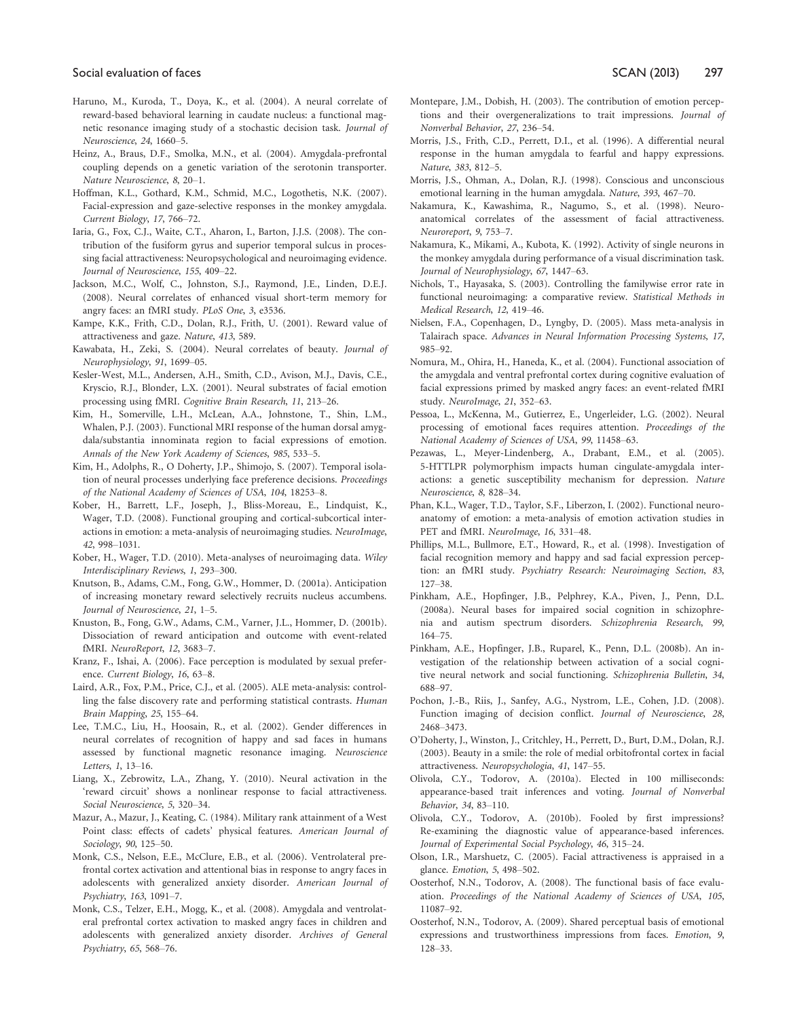#### <span id="page-12-0"></span>Social evaluation of faces **SCAN (2013)** 297

- Haruno, M., Kuroda, T., Doya, K., et al. (2004). A neural correlate of reward-based behavioral learning in caudate nucleus: a functional magnetic resonance imaging study of a stochastic decision task. Journal of Neuroscience, 24, 1660–5.
- Heinz, A., Braus, D.F., Smolka, M.N., et al. (2004). Amygdala-prefrontal coupling depends on a genetic variation of the serotonin transporter. Nature Neuroscience, 8, 20–1.
- Hoffman, K.L., Gothard, K.M., Schmid, M.C., Logothetis, N.K. (2007). Facial-expression and gaze-selective responses in the monkey amygdala. Current Biology, 17, 766–72.
- Iaria, G., Fox, C.J., Waite, C.T., Aharon, I., Barton, J.J.S. (2008). The contribution of the fusiform gyrus and superior temporal sulcus in processing facial attractiveness: Neuropsychological and neuroimaging evidence. Journal of Neuroscience, 155, 409–22.
- Jackson, M.C., Wolf, C., Johnston, S.J., Raymond, J.E., Linden, D.E.J. (2008). Neural correlates of enhanced visual short-term memory for angry faces: an fMRI study. PLoS One, 3, e3536.
- Kampe, K.K., Frith, C.D., Dolan, R.J., Frith, U. (2001). Reward value of attractiveness and gaze. Nature, 413, 589.
- Kawabata, H., Zeki, S. (2004). Neural correlates of beauty. Journal of Neurophysiology, 91, 1699–05.
- Kesler-West, M.L., Andersen, A.H., Smith, C.D., Avison, M.J., Davis, C.E., Kryscio, R.J., Blonder, L.X. (2001). Neural substrates of facial emotion processing using fMRI. Cognitive Brain Research, 11, 213–26.
- Kim, H., Somerville, L.H., McLean, A.A., Johnstone, T., Shin, L.M., Whalen, P.J. (2003). Functional MRI response of the human dorsal amygdala/substantia innominata region to facial expressions of emotion. Annals of the New York Academy of Sciences, 985, 533–5.
- Kim, H., Adolphs, R., O Doherty, J.P., Shimojo, S. (2007). Temporal isolation of neural processes underlying face preference decisions. Proceedings of the National Academy of Sciences of USA, 104, 18253–8.
- Kober, H., Barrett, L.F., Joseph, J., Bliss-Moreau, E., Lindquist, K., Wager, T.D. (2008). Functional grouping and cortical-subcortical interactions in emotion: a meta-analysis of neuroimaging studies. NeuroImage, 42, 998–1031.
- Kober, H., Wager, T.D. (2010). Meta-analyses of neuroimaging data. Wiley Interdisciplinary Reviews, 1, 293–300.
- Knutson, B., Adams, C.M., Fong, G.W., Hommer, D. (2001a). Anticipation of increasing monetary reward selectively recruits nucleus accumbens. Journal of Neuroscience, 21, 1–5.
- Knuston, B., Fong, G.W., Adams, C.M., Varner, J.L., Hommer, D. (2001b). Dissociation of reward anticipation and outcome with event-related fMRI. NeuroReport, 12, 3683–7.
- Kranz, F., Ishai, A. (2006). Face perception is modulated by sexual preference. Current Biology, 16, 63–8.
- Laird, A.R., Fox, P.M., Price, C.J., et al. (2005). ALE meta-analysis: controlling the false discovery rate and performing statistical contrasts. Human Brain Mapping, 25, 155–64.
- Lee, T.M.C., Liu, H., Hoosain, R., et al. (2002). Gender differences in neural correlates of recognition of happy and sad faces in humans assessed by functional magnetic resonance imaging. Neuroscience Letters, 1, 13–16.
- Liang, X., Zebrowitz, L.A., Zhang, Y. (2010). Neural activation in the 'reward circuit' shows a nonlinear response to facial attractiveness. Social Neuroscience, 5, 320–34.
- Mazur, A., Mazur, J., Keating, C. (1984). Military rank attainment of a West Point class: effects of cadets' physical features. American Journal of Sociology, 90, 125–50.
- Monk, C.S., Nelson, E.E., McClure, E.B., et al. (2006). Ventrolateral prefrontal cortex activation and attentional bias in response to angry faces in adolescents with generalized anxiety disorder. American Journal of Psychiatry, 163, 1091–7.
- Monk, C.S., Telzer, E.H., Mogg, K., et al. (2008). Amygdala and ventrolateral prefrontal cortex activation to masked angry faces in children and adolescents with generalized anxiety disorder. Archives of General Psychiatry, 65, 568–76.
- Montepare, J.M., Dobish, H. (2003). The contribution of emotion perceptions and their overgeneralizations to trait impressions. Journal of Nonverbal Behavior, 27, 236–54.
- Morris, J.S., Frith, C.D., Perrett, D.I., et al. (1996). A differential neural response in the human amygdala to fearful and happy expressions. Nature, 383, 812–5.
- Morris, J.S., Ohman, A., Dolan, R.J. (1998). Conscious and unconscious emotional learning in the human amygdala. Nature, 393, 467–70.
- Nakamura, K., Kawashima, R., Nagumo, S., et al. (1998). Neuroanatomical correlates of the assessment of facial attractiveness. Neuroreport, 9, 753–7.
- Nakamura, K., Mikami, A., Kubota, K. (1992). Activity of single neurons in the monkey amygdala during performance of a visual discrimination task. Journal of Neurophysiology, 67, 1447–63.
- Nichols, T., Hayasaka, S. (2003). Controlling the familywise error rate in functional neuroimaging: a comparative review. Statistical Methods in Medical Research, 12, 419–46.
- Nielsen, F.A., Copenhagen, D., Lyngby, D. (2005). Mass meta-analysis in Talairach space. Advances in Neural Information Processing Systems, 17, 985–92.
- Nomura, M., Ohira, H., Haneda, K., et al. (2004). Functional association of the amygdala and ventral prefrontal cortex during cognitive evaluation of facial expressions primed by masked angry faces: an event-related fMRI study. NeuroImage, 21, 352-63.
- Pessoa, L., McKenna, M., Gutierrez, E., Ungerleider, L.G. (2002). Neural processing of emotional faces requires attention. Proceedings of the National Academy of Sciences of USA, 99, 11458–63.
- Pezawas, L., Meyer-Lindenberg, A., Drabant, E.M., et al. (2005). 5-HTTLPR polymorphism impacts human cingulate-amygdala interactions: a genetic susceptibility mechanism for depression. Nature Neuroscience, 8, 828–34.
- Phan, K.L., Wager, T.D., Taylor, S.F., Liberzon, I. (2002). Functional neuroanatomy of emotion: a meta-analysis of emotion activation studies in PET and fMRI. NeuroImage, 16, 331–48.
- Phillips, M.L., Bullmore, E.T., Howard, R., et al. (1998). Investigation of facial recognition memory and happy and sad facial expression perception: an fMRI study. Psychiatry Research: Neuroimaging Section, 83, 127–38.
- Pinkham, A.E., Hopfinger, J.B., Pelphrey, K.A., Piven, J., Penn, D.L. (2008a). Neural bases for impaired social cognition in schizophrenia and autism spectrum disorders. Schizophrenia Research, 99, 164–75.
- Pinkham, A.E., Hopfinger, J.B., Ruparel, K., Penn, D.L. (2008b). An investigation of the relationship between activation of a social cognitive neural network and social functioning. Schizophrenia Bulletin, 34, 688–97.
- Pochon, J.-B., Riis, J., Sanfey, A.G., Nystrom, L.E., Cohen, J.D. (2008). Function imaging of decision conflict. Journal of Neuroscience, 28, 2468–3473.
- O'Doherty, J., Winston, J., Critchley, H., Perrett, D., Burt, D.M., Dolan, R.J. (2003). Beauty in a smile: the role of medial orbitofrontal cortex in facial attractiveness. Neuropsychologia, 41, 147–55.
- Olivola, C.Y., Todorov, A. (2010a). Elected in 100 milliseconds: appearance-based trait inferences and voting. Journal of Nonverbal Behavior, 34, 83–110.
- Olivola, C.Y., Todorov, A. (2010b). Fooled by first impressions? Re-examining the diagnostic value of appearance-based inferences. Journal of Experimental Social Psychology, 46, 315–24.
- Olson, I.R., Marshuetz, C. (2005). Facial attractiveness is appraised in a glance. Emotion, 5, 498–502.
- Oosterhof, N.N., Todorov, A. (2008). The functional basis of face evaluation. Proceedings of the National Academy of Sciences of USA, 105, 11087–92.
- Oosterhof, N.N., Todorov, A. (2009). Shared perceptual basis of emotional expressions and trustworthiness impressions from faces. Emotion, 9, 128–33.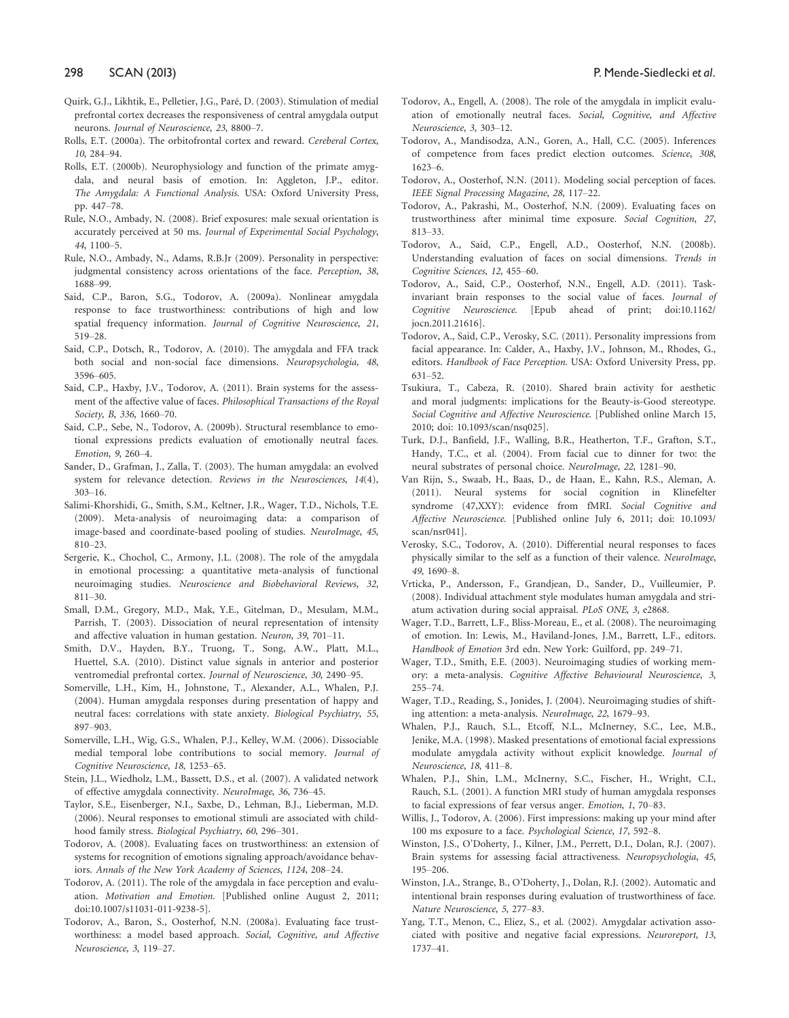- <span id="page-13-0"></span>Quirk, G.J., Likhtik, E., Pelletier, J.G., Paré, D. (2003). Stimulation of medial prefrontal cortex decreases the responsiveness of central amygdala output neurons. Journal of Neuroscience, 23, 8800–7.
- Rolls, E.T. (2000a). The orbitofrontal cortex and reward. Cereberal Cortex, 10, 284–94.
- Rolls, E.T. (2000b). Neurophysiology and function of the primate amygdala, and neural basis of emotion. In: Aggleton, J.P., editor. The Amygdala: A Functional Analysis. USA: Oxford University Press, pp. 447–78.
- Rule, N.O., Ambady, N. (2008). Brief exposures: male sexual orientation is accurately perceived at 50 ms. Journal of Experimental Social Psychology, 44, 1100–5.
- Rule, N.O., Ambady, N., Adams, R.B.Jr (2009). Personality in perspective: judgmental consistency across orientations of the face. Perception, 38, 1688–99.
- Said, C.P., Baron, S.G., Todorov, A. (2009a). Nonlinear amygdala response to face trustworthiness: contributions of high and low spatial frequency information. Journal of Cognitive Neuroscience, 21, 519–28.
- Said, C.P., Dotsch, R., Todorov, A. (2010). The amygdala and FFA track both social and non-social face dimensions. Neuropsychologia, 48, 3596–605.
- Said, C.P., Haxby, J.V., Todorov, A. (2011). Brain systems for the assessment of the affective value of faces. Philosophical Transactions of the Royal Society, B, 336, 1660-70.
- Said, C.P., Sebe, N., Todorov, A. (2009b). Structural resemblance to emotional expressions predicts evaluation of emotionally neutral faces. Emotion, 9, 260–4.
- Sander, D., Grafman, J., Zalla, T. (2003). The human amygdala: an evolved system for relevance detection. Reviews in the Neurosciences, 14(4), 303–16.
- Salimi-Khorshidi, G., Smith, S.M., Keltner, J.R., Wager, T.D., Nichols, T.E. (2009). Meta-analysis of neuroimaging data: a comparison of image-based and coordinate-based pooling of studies. NeuroImage, 45, 810–23.
- Sergerie, K., Chochol, C., Armony, J.L. (2008). The role of the amygdala in emotional processing: a quantitative meta-analysis of functional neuroimaging studies. Neuroscience and Biobehavioral Reviews, 32, 811–30.
- Small, D.M., Gregory, M.D., Mak, Y.E., Gitelman, D., Mesulam, M.M., Parrish, T. (2003). Dissociation of neural representation of intensity and affective valuation in human gestation. Neuron, 39, 701–11.
- Smith, D.V., Hayden, B.Y., Truong, T., Song, A.W., Platt, M.L., Huettel, S.A. (2010). Distinct value signals in anterior and posterior ventromedial prefrontal cortex. Journal of Neuroscience, 30, 2490–95.
- Somerville, L.H., Kim, H., Johnstone, T., Alexander, A.L., Whalen, P.J. (2004). Human amygdala responses during presentation of happy and neutral faces: correlations with state anxiety. Biological Psychiatry, 55, 897–903.
- Somerville, L.H., Wig, G.S., Whalen, P.J., Kelley, W.M. (2006). Dissociable medial temporal lobe contributions to social memory. Journal of Cognitive Neuroscience, 18, 1253–65.
- Stein, J.L., Wiedholz, L.M., Bassett, D.S., et al. (2007). A validated network of effective amygdala connectivity. NeuroImage, 36, 736–45.
- Taylor, S.E., Eisenberger, N.I., Saxbe, D., Lehman, B.J., Lieberman, M.D. (2006). Neural responses to emotional stimuli are associated with childhood family stress. Biological Psychiatry, 60, 296–301.
- Todorov, A. (2008). Evaluating faces on trustworthiness: an extension of systems for recognition of emotions signaling approach/avoidance behaviors. Annals of the New York Academy of Sciences, 1124, 208–24.
- Todorov, A. (2011). The role of the amygdala in face perception and evaluation. Motivation and Emotion. [Published online August 2, 2011; doi:10.1007/s11031-011-9238-5].
- Todorov, A., Baron, S., Oosterhof, N.N. (2008a). Evaluating face trustworthiness: a model based approach. Social, Cognitive, and Affective Neuroscience, 3, 119–27.
- Todorov, A., Engell, A. (2008). The role of the amygdala in implicit evaluation of emotionally neutral faces. Social, Cognitive, and Affective Neuroscience, 3, 303–12.
- Todorov, A., Mandisodza, A.N., Goren, A., Hall, C.C. (2005). Inferences of competence from faces predict election outcomes. Science, 308, 1623–6.
- Todorov, A., Oosterhof, N.N. (2011). Modeling social perception of faces. IEEE Signal Processing Magazine, 28, 117–22.
- Todorov, A., Pakrashi, M., Oosterhof, N.N. (2009). Evaluating faces on trustworthiness after minimal time exposure. Social Cognition, 27, 813–33.
- Todorov, A., Said, C.P., Engell, A.D., Oosterhof, N.N. (2008b). Understanding evaluation of faces on social dimensions. Trends in Cognitive Sciences, 12, 455–60.
- Todorov, A., Said, C.P., Oosterhof, N.N., Engell, A.D. (2011). Taskinvariant brain responses to the social value of faces. Journal of Cognitive Neuroscience. [Epub ahead of print; doi:10.1162/ jocn.2011.21616].
- Todorov, A., Said, C.P., Verosky, S.C. (2011). Personality impressions from facial appearance. In: Calder, A., Haxby, J.V., Johnson, M., Rhodes, G., editors. Handbook of Face Perception. USA: Oxford University Press, pp. 631–52.
- Tsukiura, T., Cabeza, R. (2010). Shared brain activity for aesthetic and moral judgments: implications for the Beauty-is-Good stereotype. Social Cognitive and Affective Neuroscience. [Published online March 15, 2010; doi: 10.1093/scan/nsq025].
- Turk, D.J., Banfield, J.F., Walling, B.R., Heatherton, T.F., Grafton, S.T., Handy, T.C., et al. (2004). From facial cue to dinner for two: the neural substrates of personal choice. NeuroImage, 22, 1281–90.
- Van Rijn, S., Swaab, H., Baas, D., de Haan, E., Kahn, R.S., Aleman, A. (2011). Neural systems for social cognition in Klinefelter syndrome (47,XXY): evidence from fMRI. Social Cognitive and Affective Neuroscience. [Published online July 6, 2011; doi: 10.1093/ scan/nsr041].
- Verosky, S.C., Todorov, A. (2010). Differential neural responses to faces physically similar to the self as a function of their valence. NeuroImage, 49, 1690–8.
- Vrticka, P., Andersson, F., Grandjean, D., Sander, D., Vuilleumier, P. (2008). Individual attachment style modulates human amygdala and striatum activation during social appraisal. PLoS ONE, 3, e2868.
- Wager, T.D., Barrett, L.F., Bliss-Moreau, E., et al. (2008). The neuroimaging of emotion. In: Lewis, M., Haviland-Jones, J.M., Barrett, L.F., editors. Handbook of Emotion 3rd edn. New York: Guilford, pp. 249–71.
- Wager, T.D., Smith, E.E. (2003). Neuroimaging studies of working memory: a meta-analysis. Cognitive Affective Behavioural Neuroscience, 3, 255–74.
- Wager, T.D., Reading, S., Jonides, J. (2004). Neuroimaging studies of shifting attention: a meta-analysis. NeuroImage, 22, 1679–93.
- Whalen, P.J., Rauch, S.L., Etcoff, N.L., McInerney, S.C., Lee, M.B., Jenike, M.A. (1998). Masked presentations of emotional facial expressions modulate amygdala activity without explicit knowledge. Journal of Neuroscience, 18, 411–8.
- Whalen, P.J., Shin, L.M., McInerny, S.C., Fischer, H., Wright, C.I., Rauch, S.L. (2001). A function MRI study of human amygdala responses to facial expressions of fear versus anger. Emotion, 1, 70–83.
- Willis, J., Todorov, A. (2006). First impressions: making up your mind after 100 ms exposure to a face. Psychological Science, 17, 592–8.
- Winston, J.S., O'Doherty, J., Kilner, J.M., Perrett, D.I., Dolan, R.J. (2007). Brain systems for assessing facial attractiveness. Neuropsychologia, 45, 195–206.
- Winston, J.A., Strange, B., O'Doherty, J., Dolan, R.J. (2002). Automatic and intentional brain responses during evaluation of trustworthiness of face. Nature Neuroscience, 5, 277–83.
- Yang, T.T., Menon, C., Eliez, S., et al. (2002). Amygdalar activation associated with positive and negative facial expressions. Neuroreport, 13, 1737–41.